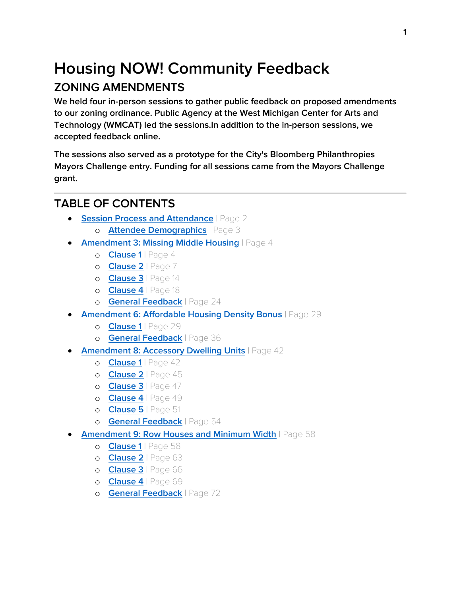## **Housing NOW! Community Feedback ZONING AMENDMENTS**

**We held four in-person sessions to gather public feedback on proposed amendments to our zoning ordinance. Public Agency at the West Michigan Center for Arts and Technology (WMCAT) led the sessions.In addition to the in-person sessions, we accepted feedback online.**

**The sessions also served as a prototype for the City's Bloomberg Philanthropies Mayors Challenge entry. Funding for all sessions came from the Mayors Challenge grant.**

### **TABLE OF CONTENTS**

- **[Session Process and Attendance](#page-1-0) | Page 2** 
	- o **[Attendee Demographics](#page-2-0)** | Page 3
- **[Amendment 3: Missing Middle Housing](#page-3-0)** | Page 4
	- o **[Clause 1](#page-3-1)** | Page 4
	- o **[Clause 2](#page-6-0)** | Page 7
	- o **[Clause 3](#page-13-0)** | Page 14
	- o **[Clause 4](#page-17-0)** | Page 18
	- o **[General Feedback](#page-23-0)** | Page 24
- **[Amendment 6: Affordable Housing Density Bonus](#page-28-0)** | Page 29
	- o **[Clause 1](#page-28-1)** | Page 29
	- o **[General Feedback](#page-35-0)** | Page 36
- **[Amendment 8: Accessory Dwelling Units](#page-41-0)** | Page 42
	- o **[Clause 1](#page-41-1)** | Page 42
	- o **[Clause 2](#page-44-0)** | Page 45
	- o **[Clause 3](#page-46-0)** | Page 47
	- o **[Clause 4](#page-48-0)** | Page 49
	- o **[Clause 5](#page-50-0)** | Page 51
	- o **[General Feedback](#page-53-0)** | Page 54
- **[Amendment 9: Row Houses and Minimum Width](#page-57-0)** | Page 58
	- o **[Clause 1](#page-57-1)** | Page 58
	- o **[Clause 2](#page-62-0)** | Page 63
	- o **[Clause 3](#page-65-0)** | Page 66
	- o **[Clause 4](#page-68-0)** | Page 69
	- o **[General Feedback](#page-71-0)** | Page 72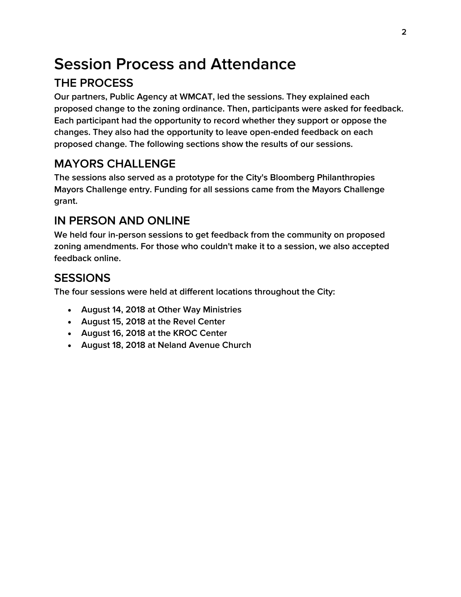# <span id="page-1-0"></span>**Session Process and Attendance THE PROCESS**

**Our partners, Public Agency at WMCAT, led the sessions. They explained each proposed change to the zoning ordinance. Then, participants were asked for feedback. Each participant had the opportunity to record whether they support or oppose the changes. They also had the opportunity to leave open-ended feedback on each proposed change. The following sections show the results of our sessions.**

### **MAYORS CHALLENGE**

**The sessions also served as a prototype for the City's Bloomberg Philanthropies Mayors Challenge entry. Funding for all sessions came from the Mayors Challenge grant.**

### **IN PERSON AND ONLINE**

**We held four in-person sessions to get feedback from the community on proposed zoning amendments. For those who couldn't make it to a session, we also accepted feedback online.**

### **SESSIONS**

**The four sessions were held at different locations throughout the City:**

- **August 14, 2018 at Other Way Ministries**
- **August 15, 2018 at the Revel Center**
- **August 16, 2018 at the KROC Center**
- **August 18, 2018 at Neland Avenue Church**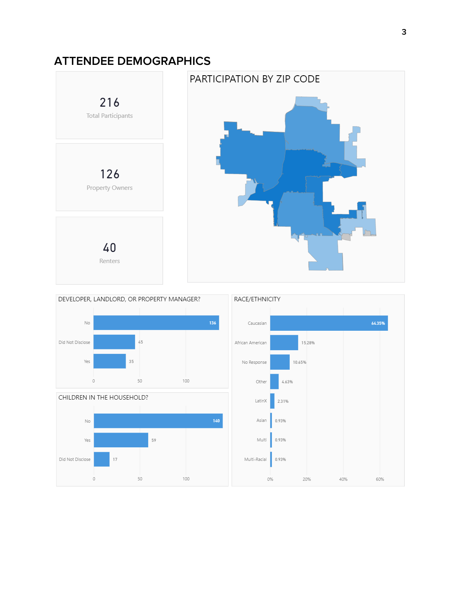### <span id="page-2-0"></span>**ATTENDEE DEMOGRAPHICS**







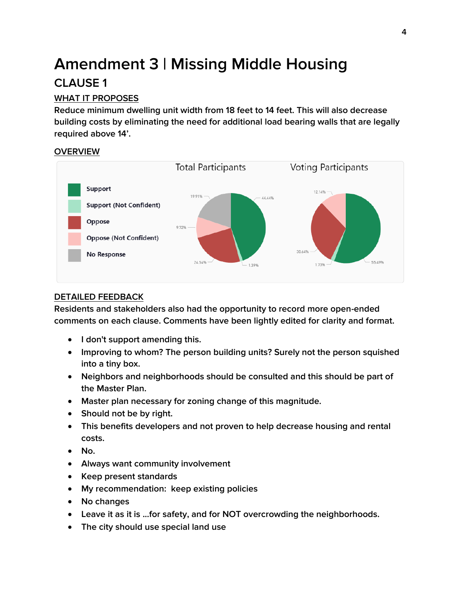## <span id="page-3-0"></span>**Amendment 3 | Missing Middle Housing CLAUSE 1**

### <span id="page-3-1"></span>**WHAT IT PROPOSES**

**Reduce minimum dwelling unit width from 18 feet to 14 feet. This will also decrease building costs by eliminating the need for additional load bearing walls that are legally required above 14'.**

#### **OVERVIEW**



#### **DETAILED FEEDBACK**

- **I don't support amending this.**
- **Improving to whom? The person building units? Surely not the person squished into a tiny box.**
- **Neighbors and neighborhoods should be consulted and this should be part of the Master Plan.**
- **Master plan necessary for zoning change of this magnitude.**
- **Should not be by right.**
- **This benefits developers and not proven to help decrease housing and rental costs.**
- **No.**
- **Always want community involvement**
- **Keep present standards**
- **My recommendation: keep existing policies**
- **No changes**
- **Leave it as it is ...for safety, and for NOT overcrowding the neighborhoods.**
- **The city should use special land use**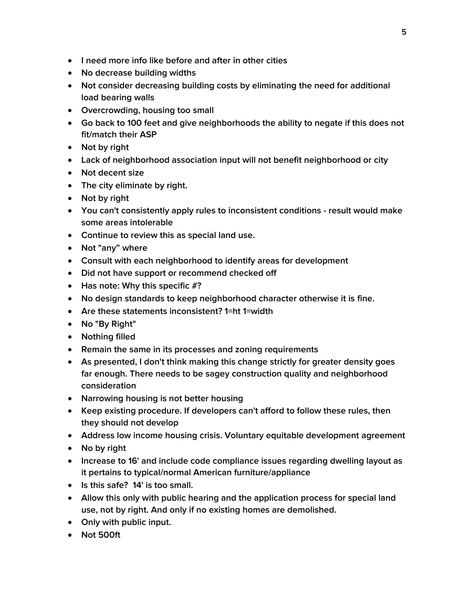- **I need more info like before and after in other cities**
- **No decrease building widths**
- **Not consider decreasing building costs by eliminating the need for additional load bearing walls**
- **Overcrowding, housing too small**
- **Go back to 100 feet and give neighborhoods the ability to negate if this does not fit/match their ASP**
- **Not by right**
- **Lack of neighborhood association input will not benefit neighborhood or city**
- **Not decent size**
- **The city eliminate by right.**
- **Not by right**
- **You can't consistently apply rules to inconsistent conditions - result would make some areas intolerable**
- **Continue to review this as special land use.**
- **Not "any" where**
- **Consult with each neighborhood to identify areas for development**
- **Did not have support or recommend checked off**
- **Has note: Why this specific #?**
- **No design standards to keep neighborhood character otherwise it is fine.**
- **Are these statements inconsistent? 1=ht 1=width**
- **No "By Right"**
- **Nothing filled**
- **Remain the same in its processes and zoning requirements**
- **As presented, I don't think making this change strictly for greater density goes far enough. There needs to be sagey construction quality and neighborhood consideration**
- **Narrowing housing is not better housing**
- **Keep existing procedure. If developers can't afford to follow these rules, then they should not develop**
- **Address low income housing crisis. Voluntary equitable development agreement**
- **No by right**
- **Increase to 16' and include code compliance issues regarding dwelling layout as it pertains to typical/normal American furniture/appliance**
- **Is this safe? 14' is too small.**
- **Allow this only with public hearing and the application process for special land use, not by right. And only if no existing homes are demolished.**
- **Only with public input.**
- **Not 500ft**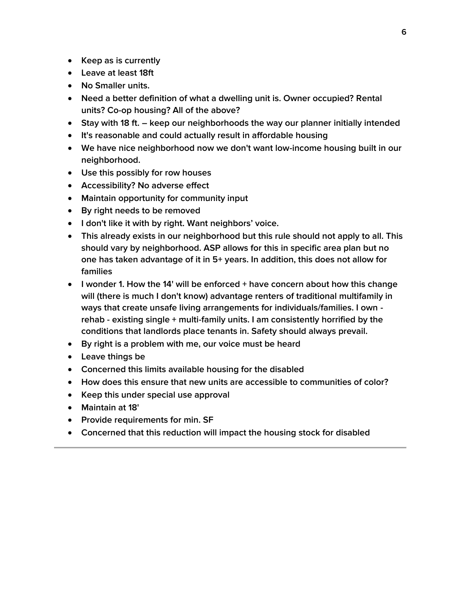- **Keep as is currently**
- **Leave at least 18ft**
- **No Smaller units.**
- **Need a better definition of what a dwelling unit is. Owner occupied? Rental units? Co-op housing? All of the above?**
- **Stay with 18 ft. – keep our neighborhoods the way our planner initially intended**
- **It's reasonable and could actually result in affordable housing**
- **We have nice neighborhood now we don't want low-income housing built in our neighborhood.**
- **Use this possibly for row houses**
- **Accessibility? No adverse effect**
- **Maintain opportunity for community input**
- **By right needs to be removed**
- **I don't like it with by right. Want neighbors' voice.**
- **This already exists in our neighborhood but this rule should not apply to all. This should vary by neighborhood. ASP allows for this in specific area plan but no one has taken advantage of it in 5+ years. In addition, this does not allow for families**
- **I wonder 1. How the 14' will be enforced + have concern about how this change will (there is much I don't know) advantage renters of traditional multifamily in ways that create unsafe living arrangements for individuals/families. I own rehab - existing single + multi-family units. I am consistently horrified by the conditions that landlords place tenants in. Safety should always prevail.**
- **By right is a problem with me, our voice must be heard**
- **Leave things be**
- **Concerned this limits available housing for the disabled**
- **How does this ensure that new units are accessible to communities of color?**
- **Keep this under special use approval**
- **Maintain at 18'**
- **Provide requirements for min. SF**
- **Concerned that this reduction will impact the housing stock for disabled**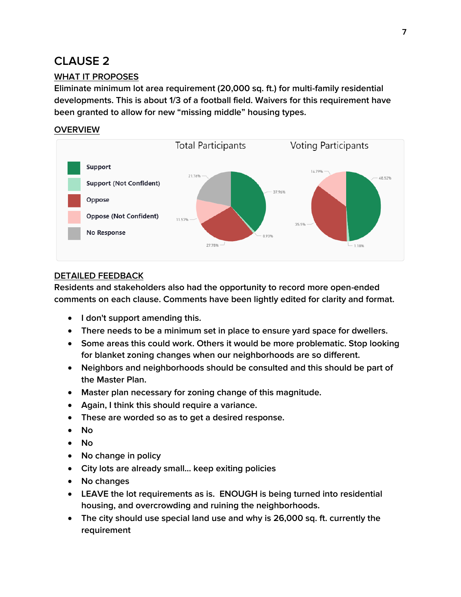### <span id="page-6-0"></span>**CLAUSE 2**

#### **WHAT IT PROPOSES**

**Eliminate minimum lot area requirement (20,000 sq. ft.) for multi-family residential developments. This is about 1/3 of a football field. Waivers for this requirement have been granted to allow for new "missing middle" housing types.**

#### **OVERVIEW**



#### **DETAILED FEEDBACK**

- **I don't support amending this.**
- **There needs to be a minimum set in place to ensure yard space for dwellers.**
- **Some areas this could work. Others it would be more problematic. Stop looking for blanket zoning changes when our neighborhoods are so different.**
- **Neighbors and neighborhoods should be consulted and this should be part of the Master Plan.**
- **Master plan necessary for zoning change of this magnitude.**
- **Again, I think this should require a variance.**
- **These are worded so as to get a desired response.**
- **No**
- **No**
- **No change in policy**
- **City lots are already small... keep exiting policies**
- **No changes**
- **LEAVE the lot requirements as is. ENOUGH is being turned into residential housing, and overcrowding and ruining the neighborhoods.**
- **The city should use special land use and why is 26,000 sq. ft. currently the requirement**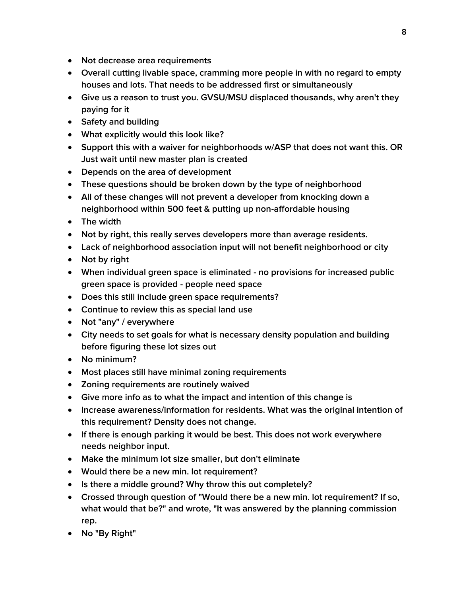- **Not decrease area requirements**
- **Overall cutting livable space, cramming more people in with no regard to empty houses and lots. That needs to be addressed first or simultaneously**
- **Give us a reason to trust you. GVSU/MSU displaced thousands, why aren't they paying for it**
- **Safety and building**
- **What explicitly would this look like?**
- **Support this with a waiver for neighborhoods w/ASP that does not want this. OR Just wait until new master plan is created**
- **Depends on the area of development**
- **These questions should be broken down by the type of neighborhood**
- **All of these changes will not prevent a developer from knocking down a neighborhood within 500 feet & putting up non-affordable housing**
- **The width**
- **Not by right, this really serves developers more than average residents.**
- **Lack of neighborhood association input will not benefit neighborhood or city**
- Not by right
- **When individual green space is eliminated - no provisions for increased public green space is provided - people need space**
- **Does this still include green space requirements?**
- **Continue to review this as special land use**
- **Not "any" / everywhere**
- **City needs to set goals for what is necessary density population and building before figuring these lot sizes out**
- **No minimum?**
- **Most places still have minimal zoning requirements**
- **Zoning requirements are routinely waived**
- **Give more info as to what the impact and intention of this change is**
- **Increase awareness/information for residents. What was the original intention of this requirement? Density does not change.**
- **If there is enough parking it would be best. This does not work everywhere needs neighbor input.**
- **Make the minimum lot size smaller, but don't eliminate**
- **Would there be a new min. lot requirement?**
- **Is there a middle ground? Why throw this out completely?**
- **Crossed through question of "Would there be a new min. lot requirement? If so, what would that be?" and wrote, "It was answered by the planning commission rep.**
- **No "By Right"**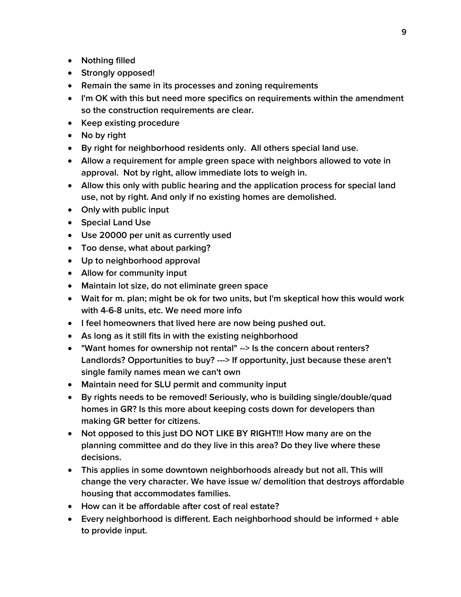- **Nothing filled**
- **Strongly opposed!**
- **Remain the same in its processes and zoning requirements**
- **I'm OK with this but need more specifics on requirements within the amendment so the construction requirements are clear.**
- **•** Keep existing procedure
- **No by right**
- **By right for neighborhood residents only. All others special land use.**
- **Allow a requirement for ample green space with neighbors allowed to vote in approval. Not by right, allow immediate lots to weigh in.**
- **Allow this only with public hearing and the application process for special land use, not by right. And only if no existing homes are demolished.**
- **Only with public input**
- **Special Land Use**
- **Use 20000 per unit as currently used**
- **Too dense, what about parking?**
- **Up to neighborhood approval**
- **Allow for community input**
- **Maintain lot size, do not eliminate green space**
- **Wait for m. plan; might be ok for two units, but I'm skeptical how this would work with 4-6-8 units, etc. We need more info**
- **I feel homeowners that lived here are now being pushed out.**
- **As long as it still fits in with the existing neighborhood**
- **"Want homes for ownership not rental" --> Is the concern about renters? Landlords? Opportunities to buy? ---> If opportunity, just because these aren't single family names mean we can't own**
- **Maintain need for SLU permit and community input**
- **By rights needs to be removed! Seriously, who is building single/double/quad homes in GR? Is this more about keeping costs down for developers than making GR better for citizens.**
- **Not opposed to this just DO NOT LIKE BY RIGHT!!! How many are on the planning committee and do they live in this area? Do they live where these decisions.**
- **This applies in some downtown neighborhoods already but not all. This will change the very character. We have issue w/ demolition that destroys affordable housing that accommodates families.**
- **How can it be affordable after cost of real estate?**
- **Every neighborhood is different. Each neighborhood should be informed + able to provide input.**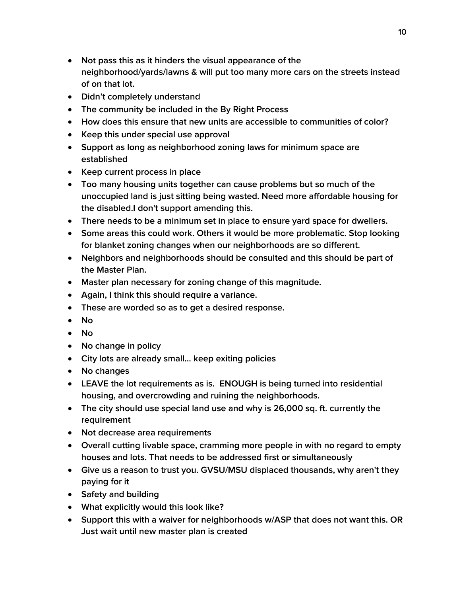- **Not pass this as it hinders the visual appearance of the neighborhood/yards/lawns & will put too many more cars on the streets instead of on that lot.**
- **Didn't completely understand**
- **The community be included in the By Right Process**
- **How does this ensure that new units are accessible to communities of color?**
- **Keep this under special use approval**
- **Support as long as neighborhood zoning laws for minimum space are established**
- **Keep current process in place**
- **Too many housing units together can cause problems but so much of the unoccupied land is just sitting being wasted. Need more affordable housing for the disabled.I don't support amending this.**
- **There needs to be a minimum set in place to ensure yard space for dwellers.**
- **Some areas this could work. Others it would be more problematic. Stop looking for blanket zoning changes when our neighborhoods are so different.**
- **Neighbors and neighborhoods should be consulted and this should be part of the Master Plan.**
- **Master plan necessary for zoning change of this magnitude.**
- **Again, I think this should require a variance.**
- **These are worded so as to get a desired response.**
- **No**
- **No**
- **No change in policy**
- **City lots are already small... keep exiting policies**
- **No changes**
- **LEAVE the lot requirements as is. ENOUGH is being turned into residential housing, and overcrowding and ruining the neighborhoods.**
- **The city should use special land use and why is 26,000 sq. ft. currently the requirement**
- **Not decrease area requirements**
- **Overall cutting livable space, cramming more people in with no regard to empty houses and lots. That needs to be addressed first or simultaneously**
- **Give us a reason to trust you. GVSU/MSU displaced thousands, why aren't they paying for it**
- **Safety and building**
- **What explicitly would this look like?**
- **Support this with a waiver for neighborhoods w/ASP that does not want this. OR Just wait until new master plan is created**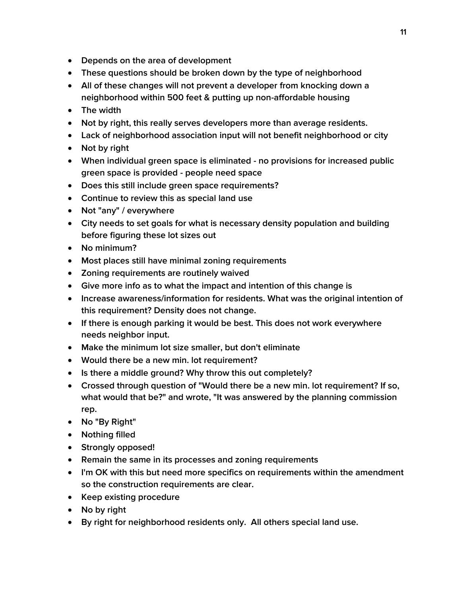- **Depends on the area of development**
- **These questions should be broken down by the type of neighborhood**
- **All of these changes will not prevent a developer from knocking down a neighborhood within 500 feet & putting up non-affordable housing**
- **The width**
- **Not by right, this really serves developers more than average residents.**
- **Lack of neighborhood association input will not benefit neighborhood or city**
- Not by right
- **When individual green space is eliminated - no provisions for increased public green space is provided - people need space**
- **Does this still include green space requirements?**
- **Continue to review this as special land use**
- **Not "any" / everywhere**
- **City needs to set goals for what is necessary density population and building before figuring these lot sizes out**
- **No minimum?**
- **Most places still have minimal zoning requirements**
- **Zoning requirements are routinely waived**
- **Give more info as to what the impact and intention of this change is**
- **Increase awareness/information for residents. What was the original intention of this requirement? Density does not change.**
- **If there is enough parking it would be best. This does not work everywhere needs neighbor input.**
- **Make the minimum lot size smaller, but don't eliminate**
- **Would there be a new min. lot requirement?**
- **Is there a middle ground? Why throw this out completely?**
- **Crossed through question of "Would there be a new min. lot requirement? If so, what would that be?" and wrote, "It was answered by the planning commission rep.**
- **No "By Right"**
- **Nothing filled**
- **Strongly opposed!**
- **Remain the same in its processes and zoning requirements**
- **I'm OK with this but need more specifics on requirements within the amendment so the construction requirements are clear.**
- **Keep existing procedure**
- **No by right**
- **By right for neighborhood residents only. All others special land use.**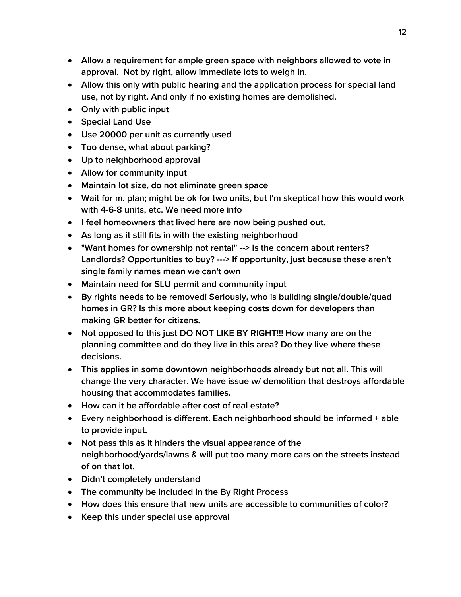- **Allow a requirement for ample green space with neighbors allowed to vote in approval. Not by right, allow immediate lots to weigh in.**
- **Allow this only with public hearing and the application process for special land use, not by right. And only if no existing homes are demolished.**
- **Only with public input**
- **Special Land Use**
- **Use 20000 per unit as currently used**
- **Too dense, what about parking?**
- **Up to neighborhood approval**
- **Allow for community input**
- **Maintain lot size, do not eliminate green space**
- **Wait for m. plan; might be ok for two units, but I'm skeptical how this would work with 4-6-8 units, etc. We need more info**
- **I feel homeowners that lived here are now being pushed out.**
- **As long as it still fits in with the existing neighborhood**
- **"Want homes for ownership not rental" --> Is the concern about renters? Landlords? Opportunities to buy? ---> If opportunity, just because these aren't single family names mean we can't own**
- **Maintain need for SLU permit and community input**
- **By rights needs to be removed! Seriously, who is building single/double/quad homes in GR? Is this more about keeping costs down for developers than making GR better for citizens.**
- **Not opposed to this just DO NOT LIKE BY RIGHT!!! How many are on the planning committee and do they live in this area? Do they live where these decisions.**
- **This applies in some downtown neighborhoods already but not all. This will change the very character. We have issue w/ demolition that destroys affordable housing that accommodates families.**
- **How can it be affordable after cost of real estate?**
- **Every neighborhood is different. Each neighborhood should be informed + able to provide input.**
- **Not pass this as it hinders the visual appearance of the neighborhood/yards/lawns & will put too many more cars on the streets instead of on that lot.**
- **Didn't completely understand**
- **The community be included in the By Right Process**
- **How does this ensure that new units are accessible to communities of color?**
- **Keep this under special use approval**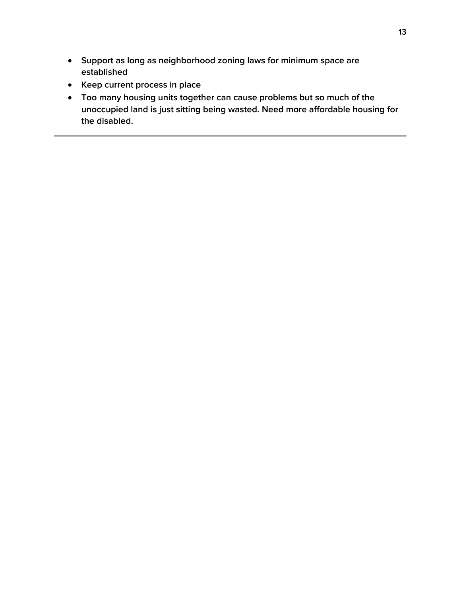- **Support as long as neighborhood zoning laws for minimum space are established**
- **Keep current process in place**
- **Too many housing units together can cause problems but so much of the unoccupied land is just sitting being wasted. Need more affordable housing for the disabled.**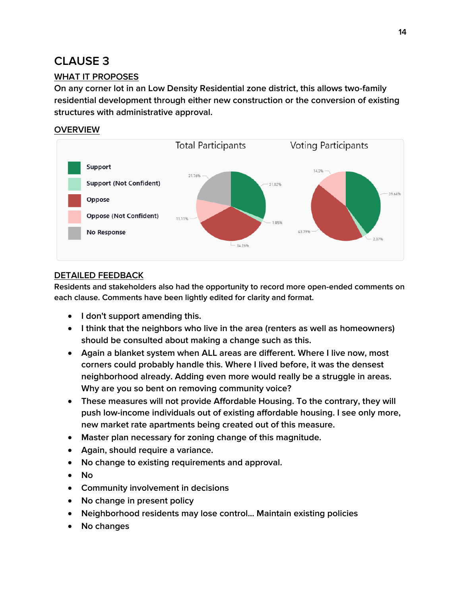### <span id="page-13-0"></span>**CLAUSE 3**

#### **WHAT IT PROPOSES**

**On any corner lot in an Low Density Residential zone district, this allows two-family residential development through either new construction or the conversion of existing structures with administrative approval.**

#### **OVERVIEW**



#### **DETAILED FEEDBACK**

- **I don't support amending this.**
- **I think that the neighbors who live in the area (renters as well as homeowners) should be consulted about making a change such as this.**
- **Again a blanket system when ALL areas are different. Where I live now, most corners could probably handle this. Where I lived before, it was the densest neighborhood already. Adding even more would really be a struggle in areas. Why are you so bent on removing community voice?**
- **These measures will not provide Affordable Housing. To the contrary, they will push low-income individuals out of existing affordable housing. I see only more, new market rate apartments being created out of this measure.**
- **Master plan necessary for zoning change of this magnitude.**
- **Again, should require a variance.**
- **No change to existing requirements and approval.**
- **No**
- **Community involvement in decisions**
- **No change in present policy**
- **Neighborhood residents may lose control... Maintain existing policies**
- **No changes**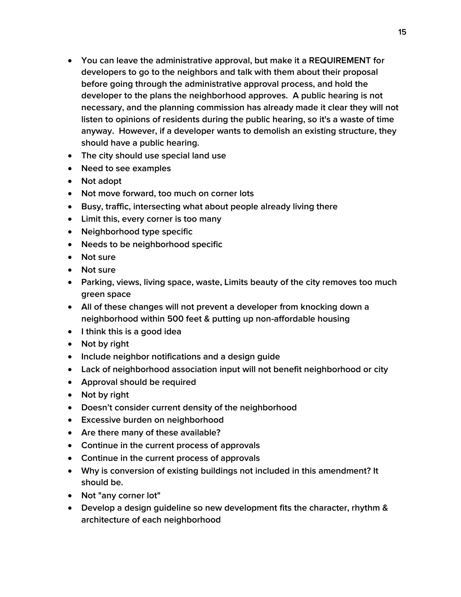- **You can leave the administrative approval, but make it a REQUIREMENT for developers to go to the neighbors and talk with them about their proposal before going through the administrative approval process, and hold the developer to the plans the neighborhood approves. A public hearing is not necessary, and the planning commission has already made it clear they will not listen to opinions of residents during the public hearing, so it's a waste of time anyway. However, if a developer wants to demolish an existing structure, they should have a public hearing.**
- **The city should use special land use**
- **Need to see examples**
- **Not adopt**
- **Not move forward, too much on corner lots**
- **Busy, traffic, intersecting what about people already living there**
- **Limit this, every corner is too many**
- **Neighborhood type specific**
- **Needs to be neighborhood specific**
- **Not sure**
- **Not sure**
- **Parking, views, living space, waste, Limits beauty of the city removes too much green space**
- **All of these changes will not prevent a developer from knocking down a neighborhood within 500 feet & putting up non-affordable housing**
- **I think this is a good idea**
- **Not by right**
- **Include neighbor notifications and a design guide**
- **Lack of neighborhood association input will not benefit neighborhood or city**
- **Approval should be required**
- **Not by right**
- **Doesn't consider current density of the neighborhood**
- **Excessive burden on neighborhood**
- **Are there many of these available?**
- **Continue in the current process of approvals**
- **Continue in the current process of approvals**
- **Why is conversion of existing buildings not included in this amendment? It should be.**
- **Not "any corner lot"**
- **Develop a design guideline so new development fits the character, rhythm & architecture of each neighborhood**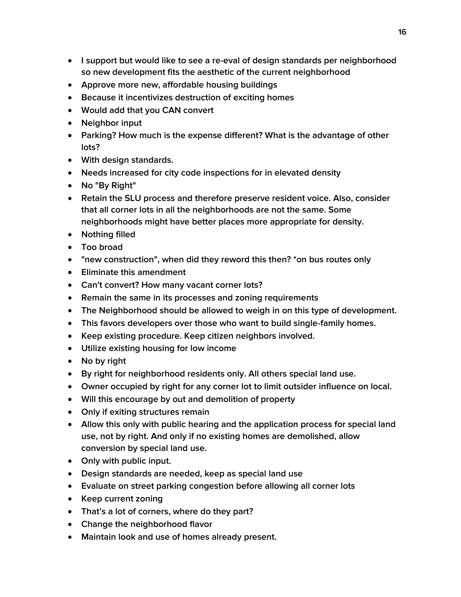- **I support but would like to see a re-eval of design standards per neighborhood so new development fits the aesthetic of the current neighborhood**
- **Approve more new, affordable housing buildings**
- **Because it incentivizes destruction of exciting homes**
- **Would add that you CAN convert**
- **Neighbor input**
- **Parking? How much is the expense different? What is the advantage of other lots?**
- **With design standards.**
- **Needs increased for city code inspections for in elevated density**
- **No "By Right"**
- **Retain the SLU process and therefore preserve resident voice. Also, consider that all corner lots in all the neighborhoods are not the same. Some neighborhoods might have better places more appropriate for density.**
- **Nothing filled**
- **Too broad**
- **"new construction", when did they reword this then? \*on bus routes only**
- **Eliminate this amendment**
- **Can't convert? How many vacant corner lots?**
- **Remain the same in its processes and zoning requirements**
- **The Neighborhood should be allowed to weigh in on this type of development.**
- **This favors developers over those who want to build single-family homes.**
- **Keep existing procedure. Keep citizen neighbors involved.**
- **Utilize existing housing for low income**
- **No by right**
- **By right for neighborhood residents only. All others special land use.**
- **Owner occupied by right for any corner lot to limit outsider influence on local.**
- **Will this encourage by out and demolition of property**
- **Only if exiting structures remain**
- **Allow this only with public hearing and the application process for special land use, not by right. And only if no existing homes are demolished, allow conversion by special land use.**
- **Only with public input.**
- **Design standards are needed, keep as special land use**
- **Evaluate on street parking congestion before allowing all corner lots**
- **Keep current zoning**
- **That's a lot of corners, where do they part?**
- **Change the neighborhood flavor**
- **Maintain look and use of homes already present.**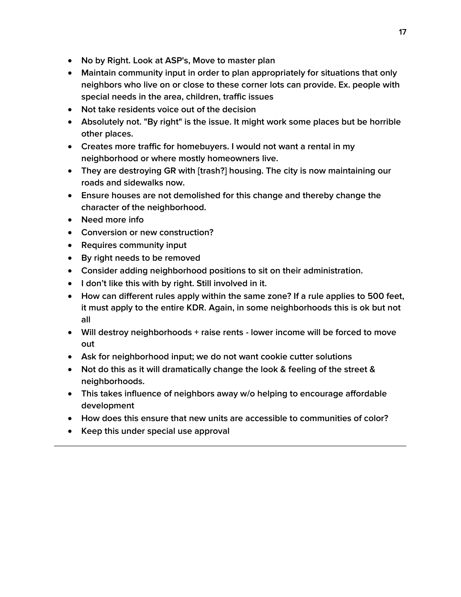- **No by Right. Look at ASP's, Move to master plan**
- **Maintain community input in order to plan appropriately for situations that only neighbors who live on or close to these corner lots can provide. Ex. people with special needs in the area, children, traffic issues**
- **Not take residents voice out of the decision**
- **Absolutely not. "By right" is the issue. It might work some places but be horrible other places.**
- **Creates more traffic for homebuyers. I would not want a rental in my neighborhood or where mostly homeowners live.**
- **They are destroying GR with [trash?] housing. The city is now maintaining our roads and sidewalks now.**
- **Ensure houses are not demolished for this change and thereby change the character of the neighborhood.**
- **Need more info**
- **Conversion or new construction?**
- **•** Requires community input
- **By right needs to be removed**
- **Consider adding neighborhood positions to sit on their administration.**
- **I don't like this with by right. Still involved in it.**
- **How can different rules apply within the same zone? If a rule applies to 500 feet, it must apply to the entire KDR. Again, in some neighborhoods this is ok but not all**
- **Will destroy neighborhoods + raise rents - lower income will be forced to move out**
- **Ask for neighborhood input; we do not want cookie cutter solutions**
- **Not do this as it will dramatically change the look & feeling of the street & neighborhoods.**
- **This takes influence of neighbors away w/o helping to encourage affordable development**
- **How does this ensure that new units are accessible to communities of color?**
- **Keep this under special use approval**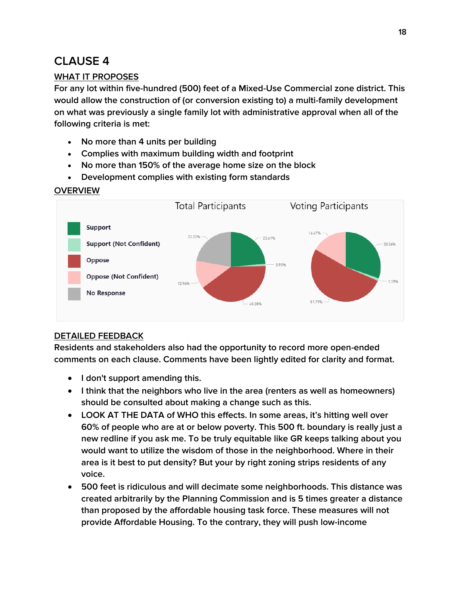### <span id="page-17-0"></span>**CLAUSE 4**

#### **WHAT IT PROPOSES**

**For any lot within five-hundred (500) feet of a Mixed-Use Commercial zone district. This would allow the construction of (or conversion existing to) a multi-family development on what was previously a single family lot with administrative approval when all of the following criteria is met:**

- **No more than 4 units per building**
- **Complies with maximum building width and footprint**
- **No more than 150% of the average home size on the block**
- **Development complies with existing form standards**

#### **OVERVIEW**



### **DETAILED FEEDBACK**

- **I don't support amending this.**
- **I think that the neighbors who live in the area (renters as well as homeowners) should be consulted about making a change such as this.**
- **LOOK AT THE DATA of WHO this effects. In some areas, it's hitting well over 60% of people who are at or below poverty. This 500 ft. boundary is really just a new redline if you ask me. To be truly equitable like GR keeps talking about you would want to utilize the wisdom of those in the neighborhood. Where in their area is it best to put density? But your by right zoning strips residents of any voice.**
- **500 feet is ridiculous and will decimate some neighborhoods. This distance was created arbitrarily by the Planning Commission and is 5 times greater a distance than proposed by the affordable housing task force. These measures will not provide Affordable Housing. To the contrary, they will push low-income**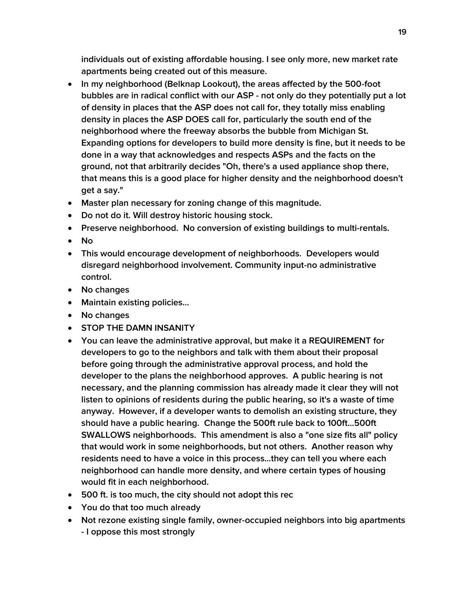**individuals out of existing affordable housing. I see only more, new market rate apartments being created out of this measure.**

- **In my neighborhood (Belknap Lookout), the areas affected by the 500-foot bubbles are in radical conflict with our ASP - not only do they potentially put a lot of density in places that the ASP does not call for, they totally miss enabling density in places the ASP DOES call for, particularly the south end of the neighborhood where the freeway absorbs the bubble from Michigan St. Expanding options for developers to build more density is fine, but it needs to be done in a way that acknowledges and respects ASPs and the facts on the ground, not that arbitrarily decides "Oh, there's a used appliance shop there, that means this is a good place for higher density and the neighborhood doesn't get a say."**
- **Master plan necessary for zoning change of this magnitude.**
- **Do not do it. Will destroy historic housing stock.**
- **Preserve neighborhood. No conversion of existing buildings to multi-rentals.**
- **No**
- **This would encourage development of neighborhoods. Developers would disregard neighborhood involvement. Community input-no administrative control.**
- **No changes**
- **Maintain existing policies...**
- **No changes**
- **STOP THE DAMN INSANITY**
- **You can leave the administrative approval, but make it a REQUIREMENT for developers to go to the neighbors and talk with them about their proposal before going through the administrative approval process, and hold the developer to the plans the neighborhood approves. A public hearing is not necessary, and the planning commission has already made it clear they will not listen to opinions of residents during the public hearing, so it's a waste of time anyway. However, if a developer wants to demolish an existing structure, they should have a public hearing. Change the 500ft rule back to 100ft...500ft SWALLOWS neighborhoods. This amendment is also a "one size fits all" policy that would work in some neighborhoods, but not others. Another reason why residents need to have a voice in this process...they can tell you where each neighborhood can handle more density, and where certain types of housing would fit in each neighborhood.**
- **500 ft. is too much, the city should not adopt this rec**
- **You do that too much already**
- **Not rezone existing single family, owner-occupied neighbors into big apartments - I oppose this most strongly**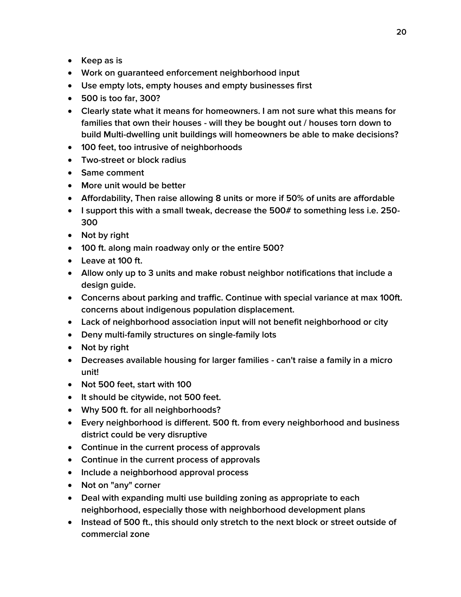- **Keep as is**
- **Work on guaranteed enforcement neighborhood input**
- **Use empty lots, empty houses and empty businesses first**
- **500 is too far, 300?**
- **Clearly state what it means for homeowners. I am not sure what this means for families that own their houses - will they be bought out / houses torn down to build Multi-dwelling unit buildings will homeowners be able to make decisions?**
- **100 feet, too intrusive of neighborhoods**
- **Two-street or block radius**
- **Same comment**
- **More unit would be better**
- **Affordability, Then raise allowing 8 units or more if 50% of units are affordable**
- **I support this with a small tweak, decrease the 500# to something less i.e. 250- 300**
- **Not by right**
- **100 ft. along main roadway only or the entire 500?**
- **Leave at 100 ft.**
- **Allow only up to 3 units and make robust neighbor notifications that include a design guide.**
- **Concerns about parking and traffic. Continue with special variance at max 100ft. concerns about indigenous population displacement.**
- **Lack of neighborhood association input will not benefit neighborhood or city**
- **Deny multi-family structures on single-family lots**
- **Not by right**
- **Decreases available housing for larger families - can't raise a family in a micro unit!**
- **Not 500 feet, start with 100**
- **It should be citywide, not 500 feet.**
- **Why 500 ft. for all neighborhoods?**
- **Every neighborhood is different. 500 ft. from every neighborhood and business district could be very disruptive**
- **Continue in the current process of approvals**
- **Continue in the current process of approvals**
- **Include a neighborhood approval process**
- **Not on "any" corner**
- **Deal with expanding multi use building zoning as appropriate to each neighborhood, especially those with neighborhood development plans**
- **Instead of 500 ft., this should only stretch to the next block or street outside of commercial zone**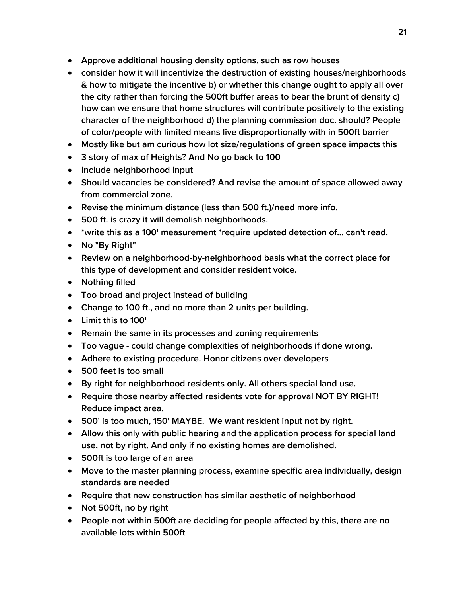- **Approve additional housing density options, such as row houses**
- **consider how it will incentivize the destruction of existing houses/neighborhoods & how to mitigate the incentive b) or whether this change ought to apply all over the city rather than forcing the 500ft buffer areas to bear the brunt of density c) how can we ensure that home structures will contribute positively to the existing character of the neighborhood d) the planning commission doc. should? People of color/people with limited means live disproportionally with in 500ft barrier**
- **Mostly like but am curious how lot size/regulations of green space impacts this**
- **3 story of max of Heights? And No go back to 100**
- **Include neighborhood input**
- **Should vacancies be considered? And revise the amount of space allowed away from commercial zone.**
- **Revise the minimum distance (less than 500 ft.)/need more info.**
- **500 ft. is crazy it will demolish neighborhoods.**
- **\*write this as a 100' measurement \*require updated detection of... can't read.**
- **No "By Right"**
- **Review on a neighborhood-by-neighborhood basis what the correct place for this type of development and consider resident voice.**
- **Nothing filled**
- **Too broad and project instead of building**
- **Change to 100 ft., and no more than 2 units per building.**
- **Limit this to 100'**
- **Remain the same in its processes and zoning requirements**
- **Too vague - could change complexities of neighborhoods if done wrong.**
- **Adhere to existing procedure. Honor citizens over developers**
- **500 feet is too small**
- **By right for neighborhood residents only. All others special land use.**
- **Require those nearby affected residents vote for approval NOT BY RIGHT! Reduce impact area.**
- **500' is too much, 150' MAYBE. We want resident input not by right.**
- **Allow this only with public hearing and the application process for special land use, not by right. And only if no existing homes are demolished.**
- **500ft is too large of an area**
- **Move to the master planning process, examine specific area individually, design standards are needed**
- **Require that new construction has similar aesthetic of neighborhood**
- **Not 500ft, no by right**
- **People not within 500ft are deciding for people affected by this, there are no available lots within 500ft**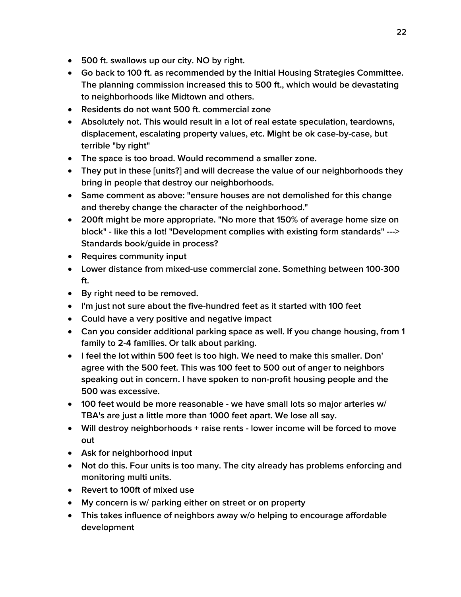- **500 ft. swallows up our city. NO by right.**
- **Go back to 100 ft. as recommended by the Initial Housing Strategies Committee. The planning commission increased this to 500 ft., which would be devastating to neighborhoods like Midtown and others.**
- **Residents do not want 500 ft. commercial zone**
- **Absolutely not. This would result in a lot of real estate speculation, teardowns, displacement, escalating property values, etc. Might be ok case-by-case, but terrible "by right"**
- **The space is too broad. Would recommend a smaller zone.**
- **They put in these [units?] and will decrease the value of our neighborhoods they bring in people that destroy our neighborhoods.**
- **Same comment as above: "ensure houses are not demolished for this change and thereby change the character of the neighborhood."**
- **200ft might be more appropriate. "No more that 150% of average home size on block" - like this a lot! "Development complies with existing form standards" ---> Standards book/guide in process?**
- **Requires community input**
- **Lower distance from mixed-use commercial zone. Something between 100-300 ft.**
- **By right need to be removed.**
- **I'm just not sure about the five-hundred feet as it started with 100 feet**
- **Could have a very positive and negative impact**
- **Can you consider additional parking space as well. If you change housing, from 1 family to 2-4 families. Or talk about parking.**
- **I feel the lot within 500 feet is too high. We need to make this smaller. Don' agree with the 500 feet. This was 100 feet to 500 out of anger to neighbors speaking out in concern. I have spoken to non-profit housing people and the 500 was excessive.**
- **100 feet would be more reasonable - we have small lots so major arteries w/ TBA's are just a little more than 1000 feet apart. We lose all say.**
- **Will destroy neighborhoods + raise rents - lower income will be forced to move out**
- **Ask for neighborhood input**
- **Not do this. Four units is too many. The city already has problems enforcing and monitoring multi units.**
- **Revert to 100ft of mixed use**
- **My concern is w/ parking either on street or on property**
- **This takes influence of neighbors away w/o helping to encourage affordable development**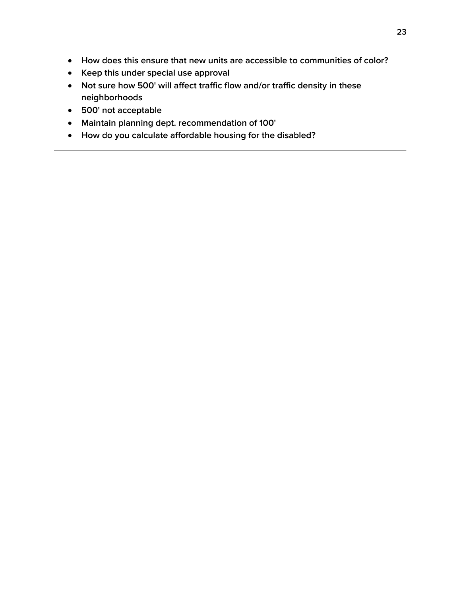- **How does this ensure that new units are accessible to communities of color?**
- **Keep this under special use approval**
- **Not sure how 500' will affect traffic flow and/or traffic density in these neighborhoods**
- **500' not acceptable**
- **Maintain planning dept. recommendation of 100'**
- **How do you calculate affordable housing for the disabled?**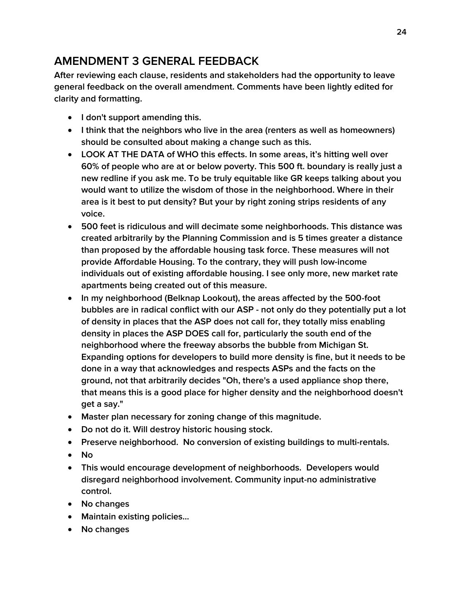### <span id="page-23-0"></span>**AMENDMENT 3 GENERAL FEEDBACK**

**After reviewing each clause, residents and stakeholders had the opportunity to leave general feedback on the overall amendment. Comments have been lightly edited for clarity and formatting.**

- **I don't support amending this.**
- **I think that the neighbors who live in the area (renters as well as homeowners) should be consulted about making a change such as this.**
- **LOOK AT THE DATA of WHO this effects. In some areas, it's hitting well over 60% of people who are at or below poverty. This 500 ft. boundary is really just a new redline if you ask me. To be truly equitable like GR keeps talking about you would want to utilize the wisdom of those in the neighborhood. Where in their area is it best to put density? But your by right zoning strips residents of any voice.**
- **500 feet is ridiculous and will decimate some neighborhoods. This distance was created arbitrarily by the Planning Commission and is 5 times greater a distance than proposed by the affordable housing task force. These measures will not provide Affordable Housing. To the contrary, they will push low-income individuals out of existing affordable housing. I see only more, new market rate apartments being created out of this measure.**
- **In my neighborhood (Belknap Lookout), the areas affected by the 500-foot bubbles are in radical conflict with our ASP - not only do they potentially put a lot of density in places that the ASP does not call for, they totally miss enabling density in places the ASP DOES call for, particularly the south end of the neighborhood where the freeway absorbs the bubble from Michigan St. Expanding options for developers to build more density is fine, but it needs to be done in a way that acknowledges and respects ASPs and the facts on the ground, not that arbitrarily decides "Oh, there's a used appliance shop there, that means this is a good place for higher density and the neighborhood doesn't get a say."**
- **Master plan necessary for zoning change of this magnitude.**
- **Do not do it. Will destroy historic housing stock.**
- **Preserve neighborhood. No conversion of existing buildings to multi-rentals.**
- **No**
- **This would encourage development of neighborhoods. Developers would disregard neighborhood involvement. Community input-no administrative control.**
- **No changes**
- **Maintain existing policies...**
- **No changes**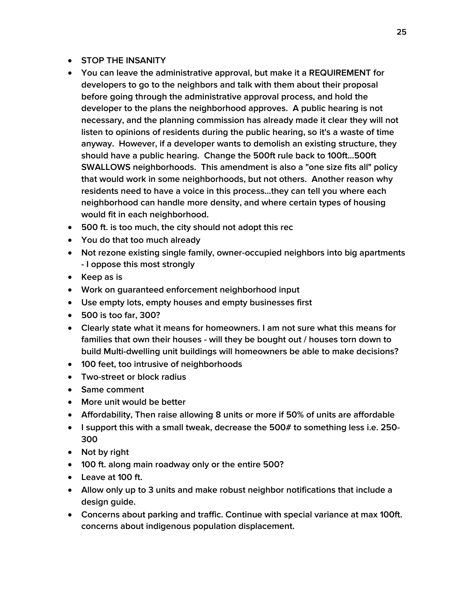- **STOP THE INSANITY**
- **You can leave the administrative approval, but make it a REQUIREMENT for developers to go to the neighbors and talk with them about their proposal before going through the administrative approval process, and hold the developer to the plans the neighborhood approves. A public hearing is not necessary, and the planning commission has already made it clear they will not listen to opinions of residents during the public hearing, so it's a waste of time anyway. However, if a developer wants to demolish an existing structure, they should have a public hearing. Change the 500ft rule back to 100ft...500ft SWALLOWS neighborhoods. This amendment is also a "one size fits all" policy that would work in some neighborhoods, but not others. Another reason why residents need to have a voice in this process...they can tell you where each neighborhood can handle more density, and where certain types of housing would fit in each neighborhood.**
- **500 ft. is too much, the city should not adopt this rec**
- **You do that too much already**
- **Not rezone existing single family, owner-occupied neighbors into big apartments - I oppose this most strongly**
- **Keep as is**
- **Work on guaranteed enforcement neighborhood input**
- **Use empty lots, empty houses and empty businesses first**
- **500 is too far, 300?**
- **Clearly state what it means for homeowners. I am not sure what this means for families that own their houses - will they be bought out / houses torn down to build Multi-dwelling unit buildings will homeowners be able to make decisions?**
- **100 feet, too intrusive of neighborhoods**
- **Two-street or block radius**
- **Same comment**
- **More unit would be better**
- **Affordability, Then raise allowing 8 units or more if 50% of units are affordable**
- **I support this with a small tweak, decrease the 500# to something less i.e. 250- 300**
- **Not by right**
- **100 ft. along main roadway only or the entire 500?**
- **Leave at 100 ft.**
- **Allow only up to 3 units and make robust neighbor notifications that include a design guide.**
- **Concerns about parking and traffic. Continue with special variance at max 100ft. concerns about indigenous population displacement.**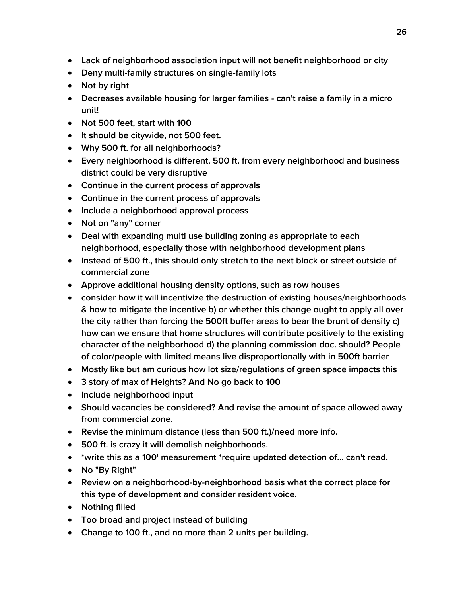- **Lack of neighborhood association input will not benefit neighborhood or city**
- **Deny multi-family structures on single-family lots**
- **Not by right**
- **Decreases available housing for larger families - can't raise a family in a micro unit!**
- **Not 500 feet, start with 100**
- **It should be citywide, not 500 feet.**
- **Why 500 ft. for all neighborhoods?**
- **Every neighborhood is different. 500 ft. from every neighborhood and business district could be very disruptive**
- **Continue in the current process of approvals**
- **Continue in the current process of approvals**
- **Include a neighborhood approval process**
- **Not on "any" corner**
- **Deal with expanding multi use building zoning as appropriate to each neighborhood, especially those with neighborhood development plans**
- **Instead of 500 ft., this should only stretch to the next block or street outside of commercial zone**
- **Approve additional housing density options, such as row houses**
- **consider how it will incentivize the destruction of existing houses/neighborhoods & how to mitigate the incentive b) or whether this change ought to apply all over the city rather than forcing the 500ft buffer areas to bear the brunt of density c) how can we ensure that home structures will contribute positively to the existing character of the neighborhood d) the planning commission doc. should? People of color/people with limited means live disproportionally with in 500ft barrier**
- **Mostly like but am curious how lot size/regulations of green space impacts this**
- **3 story of max of Heights? And No go back to 100**
- **Include neighborhood input**
- **Should vacancies be considered? And revise the amount of space allowed away from commercial zone.**
- **Revise the minimum distance (less than 500 ft.)/need more info.**
- **500 ft. is crazy it will demolish neighborhoods.**
- **\*write this as a 100' measurement \*require updated detection of... can't read.**
- **No "By Right"**
- **Review on a neighborhood-by-neighborhood basis what the correct place for this type of development and consider resident voice.**
- **Nothing filled**
- **Too broad and project instead of building**
- **Change to 100 ft., and no more than 2 units per building.**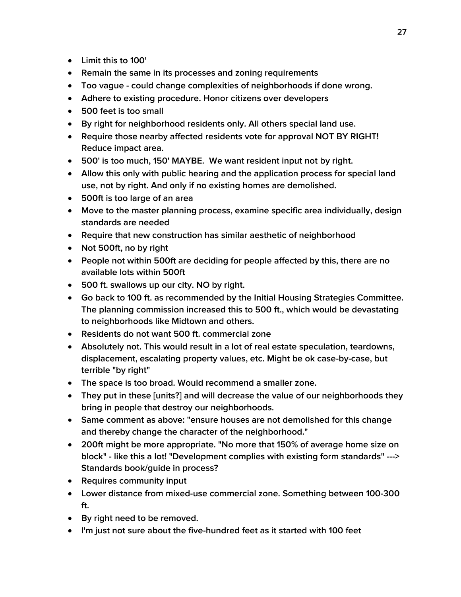- **Limit this to 100'**
- **Remain the same in its processes and zoning requirements**
- **Too vague - could change complexities of neighborhoods if done wrong.**
- **Adhere to existing procedure. Honor citizens over developers**
- **500 feet is too small**
- **By right for neighborhood residents only. All others special land use.**
- **Require those nearby affected residents vote for approval NOT BY RIGHT! Reduce impact area.**
- **500' is too much, 150' MAYBE. We want resident input not by right.**
- **Allow this only with public hearing and the application process for special land use, not by right. And only if no existing homes are demolished.**
- **500ft is too large of an area**
- **Move to the master planning process, examine specific area individually, design standards are needed**
- **Require that new construction has similar aesthetic of neighborhood**
- **Not 500ft, no by right**
- **People not within 500ft are deciding for people affected by this, there are no available lots within 500ft**
- **500 ft. swallows up our city. NO by right.**
- **Go back to 100 ft. as recommended by the Initial Housing Strategies Committee. The planning commission increased this to 500 ft., which would be devastating to neighborhoods like Midtown and others.**
- **Residents do not want 500 ft. commercial zone**
- **Absolutely not. This would result in a lot of real estate speculation, teardowns, displacement, escalating property values, etc. Might be ok case-by-case, but terrible "by right"**
- **The space is too broad. Would recommend a smaller zone.**
- **They put in these [units?] and will decrease the value of our neighborhoods they bring in people that destroy our neighborhoods.**
- **Same comment as above: "ensure houses are not demolished for this change and thereby change the character of the neighborhood."**
- **200ft might be more appropriate. "No more that 150% of average home size on block" - like this a lot! "Development complies with existing form standards" ---> Standards book/guide in process?**
- **Requires community input**
- **Lower distance from mixed-use commercial zone. Something between 100-300 ft.**
- **By right need to be removed.**
- **I'm just not sure about the five-hundred feet as it started with 100 feet**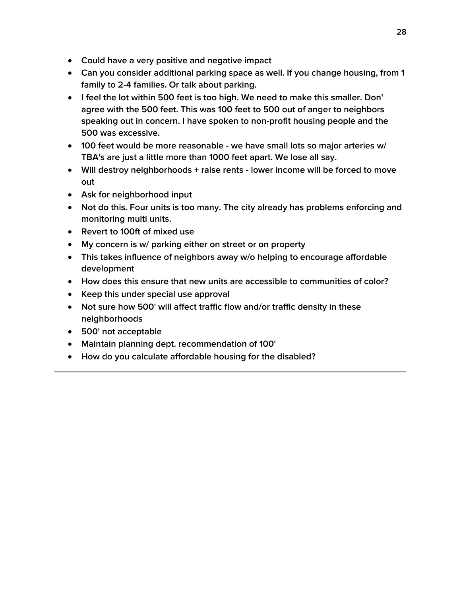- **Could have a very positive and negative impact**
- **Can you consider additional parking space as well. If you change housing, from 1 family to 2-4 families. Or talk about parking.**
- **I feel the lot within 500 feet is too high. We need to make this smaller. Don' agree with the 500 feet. This was 100 feet to 500 out of anger to neighbors speaking out in concern. I have spoken to non-profit housing people and the 500 was excessive.**
- **100 feet would be more reasonable - we have small lots so major arteries w/ TBA's are just a little more than 1000 feet apart. We lose all say.**
- **Will destroy neighborhoods + raise rents - lower income will be forced to move out**
- **Ask for neighborhood input**
- **Not do this. Four units is too many. The city already has problems enforcing and monitoring multi units.**
- **Revert to 100ft of mixed use**
- **My concern is w/ parking either on street or on property**
- **This takes influence of neighbors away w/o helping to encourage affordable development**
- **How does this ensure that new units are accessible to communities of color?**
- **Keep this under special use approval**
- **Not sure how 500' will affect traffic flow and/or traffic density in these neighborhoods**
- **500' not acceptable**
- **Maintain planning dept. recommendation of 100'**
- **How do you calculate affordable housing for the disabled?**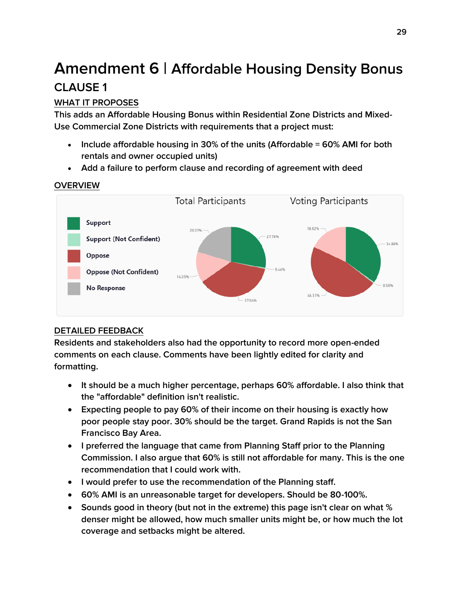# <span id="page-28-0"></span>**Amendment 6 | Affordable Housing Density Bonus CLAUSE 1**

### <span id="page-28-1"></span>**WHAT IT PROPOSES**

**This adds an Affordable Housing Bonus within Residential Zone Districts and Mixed-Use Commercial Zone Districts with requirements that a project must:**

- **Include affordable housing in 30% of the units (Affordable = 60% AMI for both rentals and owner occupied units)**
- **Add a failure to perform clause and recording of agreement with deed**



### **OVERVIEW**

### **DETAILED FEEDBACK**

- **It should be a much higher percentage, perhaps 60% affordable. I also think that the "affordable" definition isn't realistic.**
- **Expecting people to pay 60% of their income on their housing is exactly how poor people stay poor. 30% should be the target. Grand Rapids is not the San Francisco Bay Area.**
- **I preferred the language that came from Planning Staff prior to the Planning Commission. I also argue that 60% is still not affordable for many. This is the one recommendation that I could work with.**
- **I would prefer to use the recommendation of the Planning staff.**
- **60% AMI is an unreasonable target for developers. Should be 80-100%.**
- **Sounds good in theory (but not in the extreme) this page isn't clear on what % denser might be allowed, how much smaller units might be, or how much the lot coverage and setbacks might be altered.**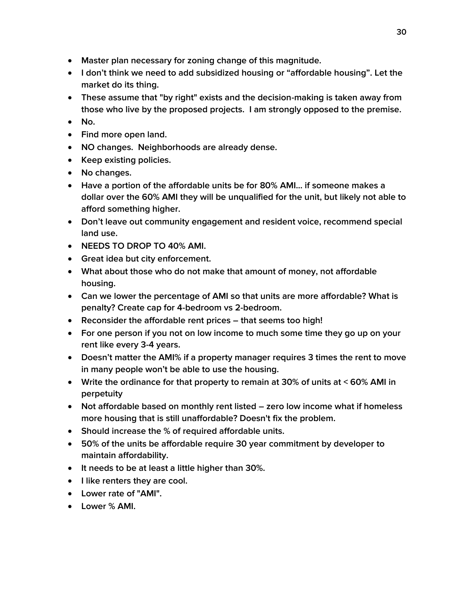- **Master plan necessary for zoning change of this magnitude.**
- **I don't think we need to add subsidized housing or "affordable housing". Let the market do its thing.**
- **These assume that "by right" exists and the decision-making is taken away from those who live by the proposed projects. I am strongly opposed to the premise.**
- **No.**
- **Find more open land.**
- **NO changes. Neighborhoods are already dense.**
- **Keep existing policies.**
- **No changes.**
- **Have a portion of the affordable units be for 80% AMI... if someone makes a dollar over the 60% AMI they will be unqualified for the unit, but likely not able to afford something higher.**
- **Don't leave out community engagement and resident voice, recommend special land use.**
- **NEEDS TO DROP TO 40% AMI.**
- **Great idea but city enforcement.**
- **What about those who do not make that amount of money, not affordable housing.**
- **Can we lower the percentage of AMI so that units are more affordable? What is penalty? Create cap for 4-bedroom vs 2-bedroom.**
- **Reconsider the affordable rent prices – that seems too high!**
- **For one person if you not on low income to much some time they go up on your rent like every 3-4 years.**
- **Doesn't matter the AMI% if a property manager requires 3 times the rent to move in many people won't be able to use the housing.**
- **Write the ordinance for that property to remain at 30% of units at < 60% AMI in perpetuity**
- **Not affordable based on monthly rent listed – zero low income what if homeless more housing that is still unaffordable? Doesn't fix the problem.**
- **Should increase the % of required affordable units.**
- **50% of the units be affordable require 30 year commitment by developer to maintain affordability.**
- **It needs to be at least a little higher than 30%.**
- **I like renters they are cool.**
- **Lower rate of "AMI".**
- **Lower % AMI.**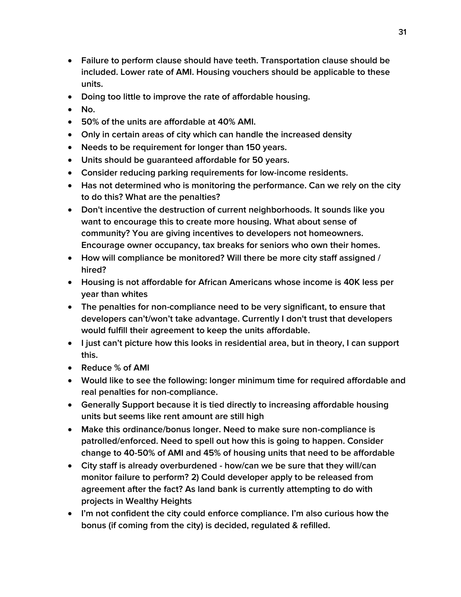- **Failure to perform clause should have teeth. Transportation clause should be included. Lower rate of AMI. Housing vouchers should be applicable to these units.**
- **Doing too little to improve the rate of affordable housing.**
- **No.**
- **50% of the units are affordable at 40% AMI.**
- **Only in certain areas of city which can handle the increased density**
- **Needs to be requirement for longer than 150 years.**
- **Units should be guaranteed affordable for 50 years.**
- **Consider reducing parking requirements for low-income residents.**
- **Has not determined who is monitoring the performance. Can we rely on the city to do this? What are the penalties?**
- **Don't incentive the destruction of current neighborhoods. It sounds like you want to encourage this to create more housing. What about sense of community? You are giving incentives to developers not homeowners. Encourage owner occupancy, tax breaks for seniors who own their homes.**
- **How will compliance be monitored? Will there be more city staff assigned / hired?**
- **Housing is not affordable for African Americans whose income is 40K less per year than whites**
- **The penalties for non-compliance need to be very significant, to ensure that developers can't/won't take advantage. Currently I don't trust that developers would fulfill their agreement to keep the units affordable.**
- **I just can't picture how this looks in residential area, but in theory, I can support this.**
- **Reduce % of AMI**
- **Would like to see the following: longer minimum time for required affordable and real penalties for non-compliance.**
- **Generally Support because it is tied directly to increasing affordable housing units but seems like rent amount are still high**
- **Make this ordinance/bonus longer. Need to make sure non-compliance is patrolled/enforced. Need to spell out how this is going to happen. Consider change to 40-50% of AMI and 45% of housing units that need to be affordable**
- **City staff is already overburdened - how/can we be sure that they will/can monitor failure to perform? 2) Could developer apply to be released from agreement after the fact? As land bank is currently attempting to do with projects in Wealthy Heights**
- **I'm not confident the city could enforce compliance. I'm also curious how the bonus (if coming from the city) is decided, regulated & refilled.**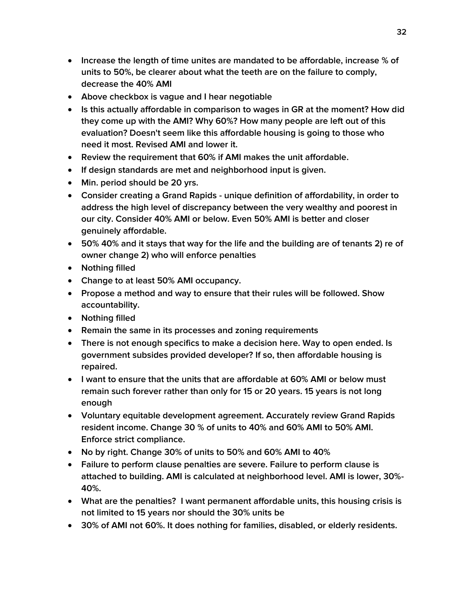- **Increase the length of time unites are mandated to be affordable, increase % of units to 50%, be clearer about what the teeth are on the failure to comply, decrease the 40% AMI**
- **Above checkbox is vague and I hear negotiable**
- **Is this actually affordable in comparison to wages in GR at the moment? How did they come up with the AMI? Why 60%? How many people are left out of this evaluation? Doesn't seem like this affordable housing is going to those who need it most. Revised AMI and lower it.**
- **Review the requirement that 60% if AMI makes the unit affordable.**
- **If design standards are met and neighborhood input is given.**
- **Min. period should be 20 yrs.**
- **Consider creating a Grand Rapids - unique definition of affordability, in order to address the high level of discrepancy between the very wealthy and poorest in our city. Consider 40% AMI or below. Even 50% AMI is better and closer genuinely affordable.**
- **50% 40% and it stays that way for the life and the building are of tenants 2) re of owner change 2) who will enforce penalties**
- **Nothing filled**
- **Change to at least 50% AMI occupancy.**
- **Propose a method and way to ensure that their rules will be followed. Show accountability.**
- **Nothing filled**
- **Remain the same in its processes and zoning requirements**
- **There is not enough specifics to make a decision here. Way to open ended. Is government subsides provided developer? If so, then affordable housing is repaired.**
- **I want to ensure that the units that are affordable at 60% AMI or below must remain such forever rather than only for 15 or 20 years. 15 years is not long enough**
- **Voluntary equitable development agreement. Accurately review Grand Rapids resident income. Change 30 % of units to 40% and 60% AMI to 50% AMI. Enforce strict compliance.**
- **No by right. Change 30% of units to 50% and 60% AMI to 40%**
- **Failure to perform clause penalties are severe. Failure to perform clause is attached to building. AMI is calculated at neighborhood level. AMI is lower, 30%- 40%.**
- **What are the penalties? I want permanent affordable units, this housing crisis is not limited to 15 years nor should the 30% units be**
- **30% of AMI not 60%. It does nothing for families, disabled, or elderly residents.**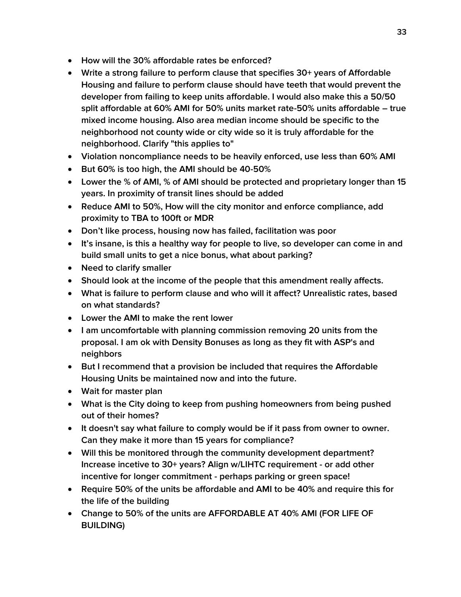- **How will the 30% affordable rates be enforced?**
- **Write a strong failure to perform clause that specifies 30+ years of Affordable Housing and failure to perform clause should have teeth that would prevent the developer from failing to keep units affordable. I would also make this a 50/50 split affordable at 60% AMI for 50% units market rate-50% units affordable – true mixed income housing. Also area median income should be specific to the neighborhood not county wide or city wide so it is truly affordable for the neighborhood. Clarify "this applies to"**
- **Violation noncompliance needs to be heavily enforced, use less than 60% AMI**
- **But 60% is too high, the AMI should be 40-50%**
- **Lower the % of AMI, % of AMI should be protected and proprietary longer than 15 years. In proximity of transit lines should be added**
- **Reduce AMI to 50%, How will the city monitor and enforce compliance, add proximity to TBA to 100ft or MDR**
- **Don't like process, housing now has failed, facilitation was poor**
- **It's insane, is this a healthy way for people to live, so developer can come in and build small units to get a nice bonus, what about parking?**
- **Need to clarify smaller**
- **Should look at the income of the people that this amendment really affects.**
- **What is failure to perform clause and who will it affect? Unrealistic rates, based on what standards?**
- **Lower the AMI to make the rent lower**
- **I am uncomfortable with planning commission removing 20 units from the proposal. I am ok with Density Bonuses as long as they fit with ASP's and neighbors**
- **But I recommend that a provision be included that requires the Affordable Housing Units be maintained now and into the future.**
- **Wait for master plan**
- **What is the City doing to keep from pushing homeowners from being pushed out of their homes?**
- **It doesn't say what failure to comply would be if it pass from owner to owner. Can they make it more than 15 years for compliance?**
- **Will this be monitored through the community development department? Increase incetive to 30+ years? Align w/LIHTC requirement - or add other incentive for longer commitment - perhaps parking or green space!**
- **Require 50% of the units be affordable and AMI to be 40% and require this for the life of the building**
- **Change to 50% of the units are AFFORDABLE AT 40% AMI (FOR LIFE OF BUILDING)**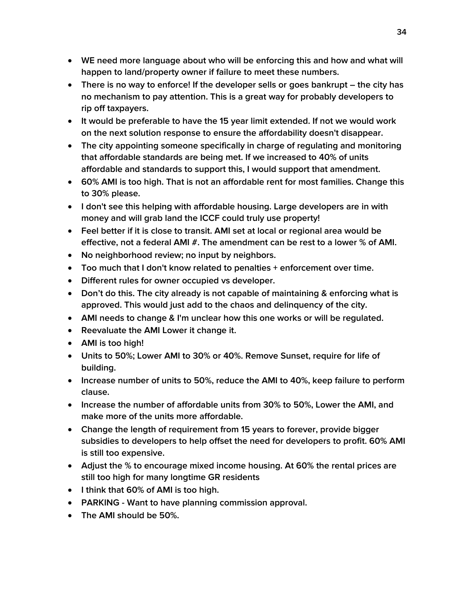- **WE need more language about who will be enforcing this and how and what will happen to land/property owner if failure to meet these numbers.**
- **•** There is no way to enforce! If the developer sells or goes bankrupt the city has **no mechanism to pay attention. This is a great way for probably developers to rip off taxpayers.**
- **It would be preferable to have the 15 year limit extended. If not we would work on the next solution response to ensure the affordability doesn't disappear.**
- **The city appointing someone specifically in charge of regulating and monitoring that affordable standards are being met. If we increased to 40% of units affordable and standards to support this, I would support that amendment.**
- **60% AMI is too high. That is not an affordable rent for most families. Change this to 30% please.**
- **I don't see this helping with affordable housing. Large developers are in with money and will grab land the ICCF could truly use property!**
- **Feel better if it is close to transit. AMI set at local or regional area would be effective, not a federal AMI #. The amendment can be rest to a lower % of AMI.**
- **No neighborhood review; no input by neighbors.**
- **Too much that I don't know related to penalties + enforcement over time.**
- **Different rules for owner occupied vs developer.**
- **Don't do this. The city already is not capable of maintaining & enforcing what is approved. This would just add to the chaos and delinquency of the city.**
- **AMI needs to change & I'm unclear how this one works or will be regulated.**
- **Reevaluate the AMI Lower it change it.**
- **AMI is too high!**
- **Units to 50%; Lower AMI to 30% or 40%. Remove Sunset, require for life of building.**
- **Increase number of units to 50%, reduce the AMI to 40%, keep failure to perform clause.**
- **Increase the number of affordable units from 30% to 50%, Lower the AMI, and make more of the units more affordable.**
- **Change the length of requirement from 15 years to forever, provide bigger subsidies to developers to help offset the need for developers to profit. 60% AMI is still too expensive.**
- **Adjust the % to encourage mixed income housing. At 60% the rental prices are still too high for many longtime GR residents**
- **I think that 60% of AMI is too high.**
- **PARKING - Want to have planning commission approval.**
- **The AMI should be 50%.**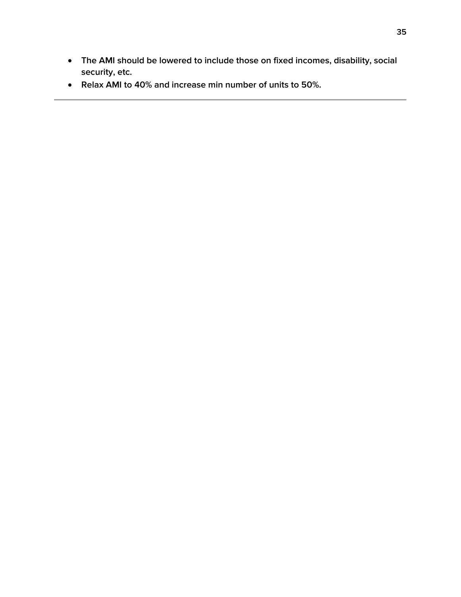- **The AMI should be lowered to include those on fixed incomes, disability, social security, etc.**
- **Relax AMI to 40% and increase min number of units to 50%.**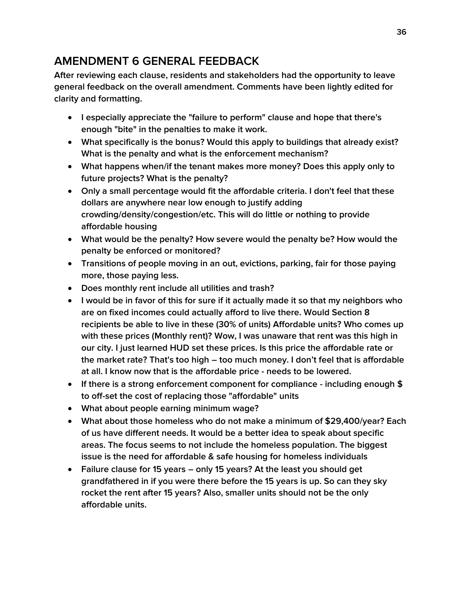### <span id="page-35-0"></span>**AMENDMENT 6 GENERAL FEEDBACK**

**After reviewing each clause, residents and stakeholders had the opportunity to leave general feedback on the overall amendment. Comments have been lightly edited for clarity and formatting.**

- **I especially appreciate the "failure to perform" clause and hope that there's enough "bite" in the penalties to make it work.**
- **What specifically is the bonus? Would this apply to buildings that already exist? What is the penalty and what is the enforcement mechanism?**
- **What happens when/if the tenant makes more money? Does this apply only to future projects? What is the penalty?**
- **Only a small percentage would fit the affordable criteria. I don't feel that these dollars are anywhere near low enough to justify adding crowding/density/congestion/etc. This will do little or nothing to provide affordable housing**
- **What would be the penalty? How severe would the penalty be? How would the penalty be enforced or monitored?**
- **Transitions of people moving in an out, evictions, parking, fair for those paying more, those paying less.**
- **Does monthly rent include all utilities and trash?**
- **I would be in favor of this for sure if it actually made it so that my neighbors who are on fixed incomes could actually afford to live there. Would Section 8 recipients be able to live in these (30% of units) Affordable units? Who comes up with these prices (Monthly rent)? Wow, I was unaware that rent was this high in our city. I just learned HUD set these prices. Is this price the affordable rate or the market rate? That's too high – too much money. I don't feel that is affordable at all. I know now that is the affordable price - needs to be lowered.**
- **If there is a strong enforcement component for compliance - including enough \$ to off-set the cost of replacing those "affordable" units**
- **What about people earning minimum wage?**
- **What about those homeless who do not make a minimum of \$29,400/year? Each of us have different needs. It would be a better idea to speak about specific areas. The focus seems to not include the homeless population. The biggest issue is the need for affordable & safe housing for homeless individuals**
- **Failure clause for 15 years – only 15 years? At the least you should get grandfathered in if you were there before the 15 years is up. So can they sky rocket the rent after 15 years? Also, smaller units should not be the only affordable units.**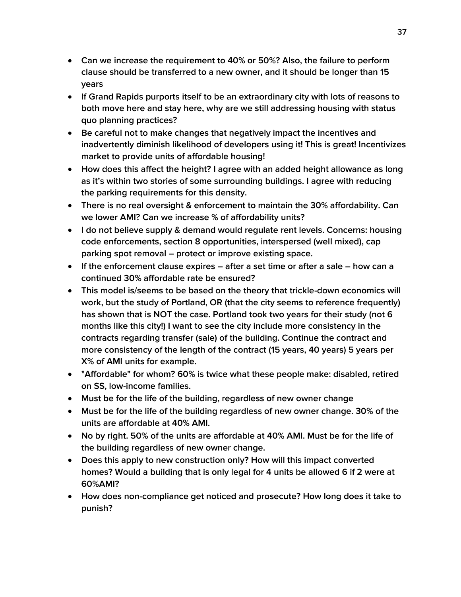- **Can we increase the requirement to 40% or 50%? Also, the failure to perform clause should be transferred to a new owner, and it should be longer than 15 years**
- **If Grand Rapids purports itself to be an extraordinary city with lots of reasons to both move here and stay here, why are we still addressing housing with status quo planning practices?**
- **Be careful not to make changes that negatively impact the incentives and inadvertently diminish likelihood of developers using it! This is great! Incentivizes market to provide units of affordable housing!**
- **How does this affect the height? I agree with an added height allowance as long as it's within two stories of some surrounding buildings. I agree with reducing the parking requirements for this density.**
- **There is no real oversight & enforcement to maintain the 30% affordability. Can we lower AMI? Can we increase % of affordability units?**
- **I do not believe supply & demand would regulate rent levels. Concerns: housing code enforcements, section 8 opportunities, interspersed (well mixed), cap parking spot removal – protect or improve existing space.**
- **If the enforcement clause expires – after a set time or after a sale – how can a continued 30% affordable rate be ensured?**
- **This model is/seems to be based on the theory that trickle-down economics will work, but the study of Portland, OR (that the city seems to reference frequently) has shown that is NOT the case. Portland took two years for their study (not 6 months like this city!) I want to see the city include more consistency in the contracts regarding transfer (sale) of the building. Continue the contract and more consistency of the length of the contract (15 years, 40 years) 5 years per X% of AMI units for example.**
- **"Affordable" for whom? 60% is twice what these people make: disabled, retired on SS, low-income families.**
- **Must be for the life of the building, regardless of new owner change**
- **Must be for the life of the building regardless of new owner change. 30% of the units are affordable at 40% AMI.**
- **No by right. 50% of the units are affordable at 40% AMI. Must be for the life of the building regardless of new owner change.**
- **Does this apply to new construction only? How will this impact converted homes? Would a building that is only legal for 4 units be allowed 6 if 2 were at 60%AMI?**
- **How does non-compliance get noticed and prosecute? How long does it take to punish?**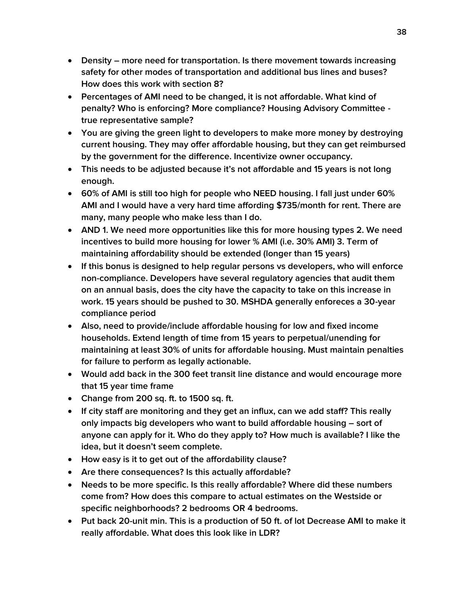- **Density – more need for transportation. Is there movement towards increasing safety for other modes of transportation and additional bus lines and buses? How does this work with section 8?**
- **Percentages of AMI need to be changed, it is not affordable. What kind of penalty? Who is enforcing? More compliance? Housing Advisory Committee true representative sample?**
- **You are giving the green light to developers to make more money by destroying current housing. They may offer affordable housing, but they can get reimbursed by the government for the difference. Incentivize owner occupancy.**
- **This needs to be adjusted because it's not affordable and 15 years is not long enough.**
- **60% of AMI is still too high for people who NEED housing. I fall just under 60% AMI and I would have a very hard time affording \$735/month for rent. There are many, many people who make less than I do.**
- **AND 1. We need more opportunities like this for more housing types 2. We need incentives to build more housing for lower % AMI (i.e. 30% AMI) 3. Term of maintaining affordability should be extended (longer than 15 years)**
- **If this bonus is designed to help regular persons vs developers, who will enforce non-compliance. Developers have several regulatory agencies that audit them on an annual basis, does the city have the capacity to take on this increase in work. 15 years should be pushed to 30. MSHDA generally enforeces a 30-year compliance period**
- **Also, need to provide/include affordable housing for low and fixed income households. Extend length of time from 15 years to perpetual/unending for maintaining at least 30% of units for affordable housing. Must maintain penalties for failure to perform as legally actionable.**
- **Would add back in the 300 feet transit line distance and would encourage more that 15 year time frame**
- **Change from 200 sq. ft. to 1500 sq. ft.**
- **If city staff are monitoring and they get an influx, can we add staff? This really only impacts big developers who want to build affordable housing – sort of anyone can apply for it. Who do they apply to? How much is available? I like the idea, but it doesn't seem complete.**
- **How easy is it to get out of the affordability clause?**
- **Are there consequences? Is this actually affordable?**
- **Needs to be more specific. Is this really affordable? Where did these numbers come from? How does this compare to actual estimates on the Westside or specific neighborhoods? 2 bedrooms OR 4 bedrooms.**
- **Put back 20-unit min. This is a production of 50 ft. of lot Decrease AMI to make it really affordable. What does this look like in LDR?**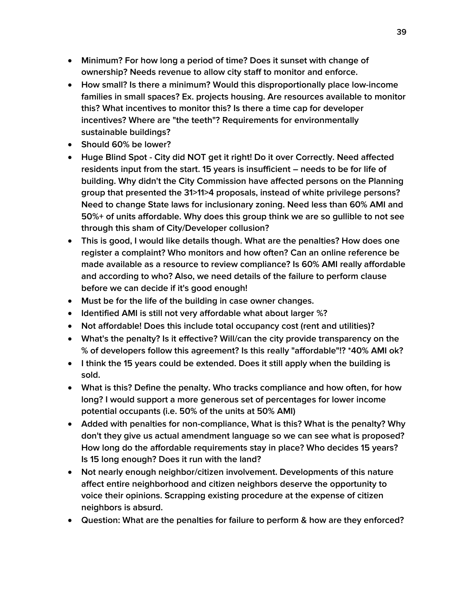- **Minimum? For how long a period of time? Does it sunset with change of ownership? Needs revenue to allow city staff to monitor and enforce.**
- **How small? Is there a minimum? Would this disproportionally place low-income families in small spaces? Ex. projects housing. Are resources available to monitor this? What incentives to monitor this? Is there a time cap for developer incentives? Where are "the teeth"? Requirements for environmentally sustainable buildings?**
- **Should 60% be lower?**
- **Huge Blind Spot - City did NOT get it right! Do it over Correctly. Need affected residents input from the start. 15 years is insufficient – needs to be for life of building. Why didn't the City Commission have affected persons on the Planning group that presented the 31>11>4 proposals, instead of white privilege persons? Need to change State laws for inclusionary zoning. Need less than 60% AMI and 50%+ of units affordable. Why does this group think we are so gullible to not see through this sham of City/Developer collusion?**
- **This is good, I would like details though. What are the penalties? How does one register a complaint? Who monitors and how often? Can an online reference be made available as a resource to review compliance? Is 60% AMI really affordable and according to who? Also, we need details of the failure to perform clause before we can decide if it's good enough!**
- **Must be for the life of the building in case owner changes.**
- **Identified AMI is still not very affordable what about larger %?**
- **Not affordable! Does this include total occupancy cost (rent and utilities)?**
- **What's the penalty? Is it effective? Will/can the city provide transparency on the % of developers follow this agreement? Is this really "affordable"!? \*40% AMI ok?**
- **I think the 15 years could be extended. Does it still apply when the building is sold.**
- **What is this? Define the penalty. Who tracks compliance and how often, for how long? I would support a more generous set of percentages for lower income potential occupants (i.e. 50% of the units at 50% AMI)**
- **Added with penalties for non-compliance, What is this? What is the penalty? Why don't they give us actual amendment language so we can see what is proposed? How long do the affordable requirements stay in place? Who decides 15 years? Is 15 long enough? Does it run with the land?**
- **Not nearly enough neighbor/citizen involvement. Developments of this nature affect entire neighborhood and citizen neighbors deserve the opportunity to voice their opinions. Scrapping existing procedure at the expense of citizen neighbors is absurd.**
- **Question: What are the penalties for failure to perform & how are they enforced?**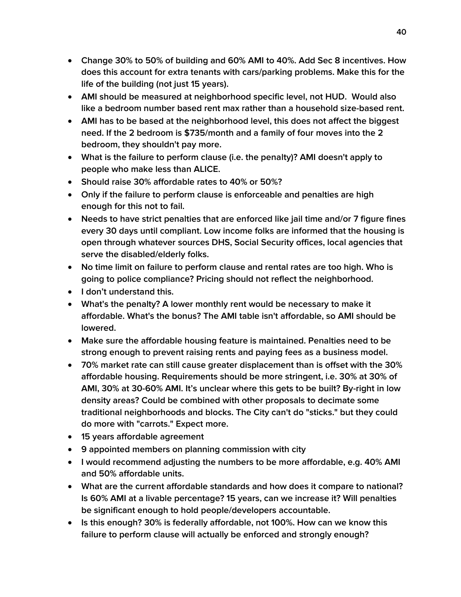- **Change 30% to 50% of building and 60% AMI to 40%. Add Sec 8 incentives. How does this account for extra tenants with cars/parking problems. Make this for the life of the building (not just 15 years).**
- **AMI should be measured at neighborhood specific level, not HUD. Would also like a bedroom number based rent max rather than a household size-based rent.**
- **AMI has to be based at the neighborhood level, this does not affect the biggest need. If the 2 bedroom is \$735/month and a family of four moves into the 2 bedroom, they shouldn't pay more.**
- **What is the failure to perform clause (i.e. the penalty)? AMI doesn't apply to people who make less than ALICE.**
- **Should raise 30% affordable rates to 40% or 50%?**
- **Only if the failure to perform clause is enforceable and penalties are high enough for this not to fail.**
- **Needs to have strict penalties that are enforced like jail time and/or 7 figure fines every 30 days until compliant. Low income folks are informed that the housing is open through whatever sources DHS, Social Security offices, local agencies that serve the disabled/elderly folks.**
- **No time limit on failure to perform clause and rental rates are too high. Who is going to police compliance? Pricing should not reflect the neighborhood.**
- **I don't understand this.**
- **What's the penalty? A lower monthly rent would be necessary to make it affordable. What's the bonus? The AMI table isn't affordable, so AMI should be lowered.**
- **Make sure the affordable housing feature is maintained. Penalties need to be strong enough to prevent raising rents and paying fees as a business model.**
- **70% market rate can still cause greater displacement than is offset with the 30% affordable housing. Requirements should be more stringent, i.e. 30% at 30% of AMI, 30% at 30-60% AMI. It's unclear where this gets to be built? By-right in low density areas? Could be combined with other proposals to decimate some traditional neighborhoods and blocks. The City can't do "sticks." but they could do more with "carrots." Expect more.**
- **15 years affordable agreement**
- **9 appointed members on planning commission with city**
- **I would recommend adjusting the numbers to be more affordable, e.g. 40% AMI and 50% affordable units.**
- **What are the current affordable standards and how does it compare to national? Is 60% AMI at a livable percentage? 15 years, can we increase it? Will penalties be significant enough to hold people/developers accountable.**
- **Is this enough? 30% is federally affordable, not 100%. How can we know this failure to perform clause will actually be enforced and strongly enough?**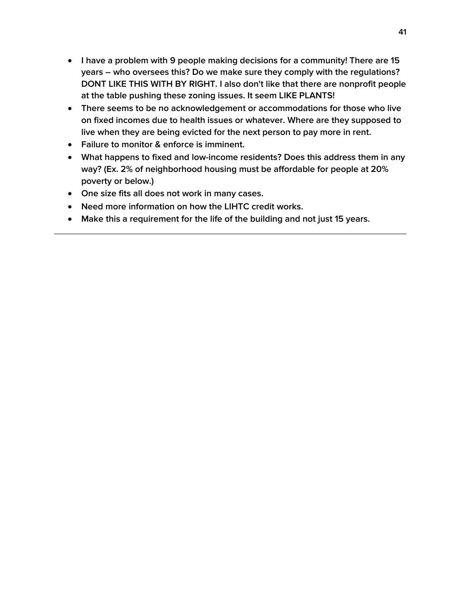- **I have a problem with 9 people making decisions for a community! There are 15 years – who oversees this? Do we make sure they comply with the regulations? DONT LIKE THIS WITH BY RIGHT. I also don't like that there are nonprofit people at the table pushing these zoning issues. It seem LIKE PLANTS!**
- **There seems to be no acknowledgement or accommodations for those who live on fixed incomes due to health issues or whatever. Where are they supposed to live when they are being evicted for the next person to pay more in rent.**
- **Failure to monitor & enforce is imminent.**
- **What happens to fixed and low-income residents? Does this address them in any way? (Ex. 2% of neighborhood housing must be affordable for people at 20% poverty or below.)**
- **One size fits all does not work in many cases.**
- **Need more information on how the LIHTC credit works.**
- **Make this a requirement for the life of the building and not just 15 years.**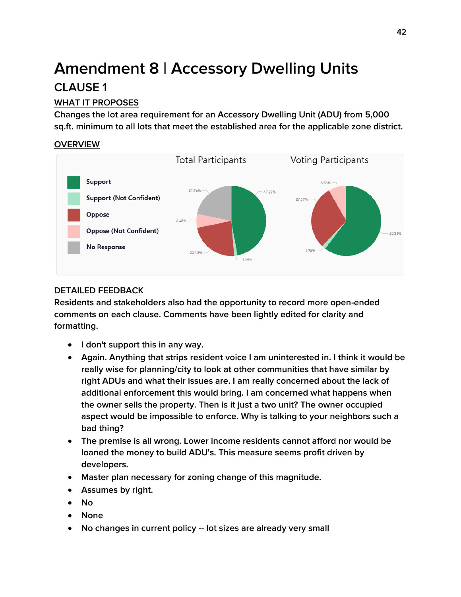# **Amendment 8 | Accessory Dwelling Units CLAUSE 1**

### **WHAT IT PROPOSES**

**Changes the lot area requirement for an Accessory Dwelling Unit (ADU) from 5,000 sq.ft. minimum to all lots that meet the established area for the applicable zone district.**

#### **OVERVIEW**



### **DETAILED FEEDBACK**

- **I don't support this in any way.**
- **Again. Anything that strips resident voice I am uninterested in. I think it would be really wise for planning/city to look at other communities that have similar by right ADUs and what their issues are. I am really concerned about the lack of additional enforcement this would bring. I am concerned what happens when the owner sells the property. Then is it just a two unit? The owner occupied aspect would be impossible to enforce. Why is talking to your neighbors such a bad thing?**
- **The premise is all wrong. Lower income residents cannot afford nor would be loaned the money to build ADU's. This measure seems profit driven by developers.**
- **Master plan necessary for zoning change of this magnitude.**
- **Assumes by right.**
- **No**
- **None**
- **No changes in current policy -- lot sizes are already very small**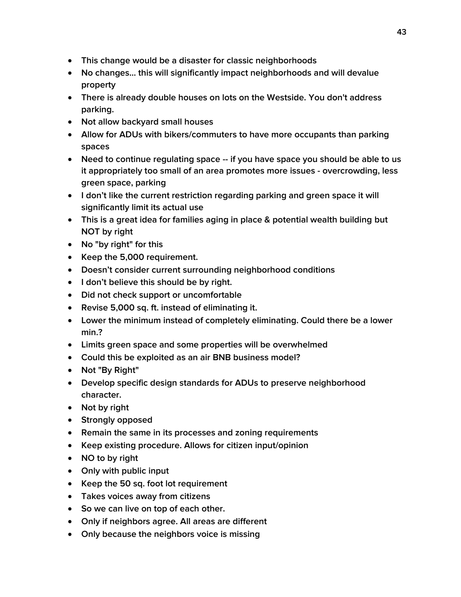- **This change would be a disaster for classic neighborhoods**
- **No changes... this will significantly impact neighborhoods and will devalue property**
- **There is already double houses on lots on the Westside. You don't address parking.**
- **Not allow backyard small houses**
- **Allow for ADUs with bikers/commuters to have more occupants than parking spaces**
- **Need to continue regulating space -- if you have space you should be able to us it appropriately too small of an area promotes more issues - overcrowding, less green space, parking**
- **I don't like the current restriction regarding parking and green space it will significantly limit its actual use**
- **This is a great idea for families aging in place & potential wealth building but NOT by right**
- **No "by right" for this**
- **Keep the 5,000 requirement.**
- **Doesn't consider current surrounding neighborhood conditions**
- **I don't believe this should be by right.**
- **Did not check support or uncomfortable**
- **Revise 5,000 sq. ft. instead of eliminating it.**
- **Lower the minimum instead of completely eliminating. Could there be a lower min.?**
- **Limits green space and some properties will be overwhelmed**
- **Could this be exploited as an air BNB business model?**
- **Not "By Right"**
- **Develop specific design standards for ADUs to preserve neighborhood character.**
- **Not by right**
- **•** Strongly opposed
- **Remain the same in its processes and zoning requirements**
- **Keep existing procedure. Allows for citizen input/opinion**
- **NO to by right**
- **Only with public input**
- **Keep the 50 sq. foot lot requirement**
- **Takes voices away from citizens**
- **So we can live on top of each other.**
- **Only if neighbors agree. All areas are different**
- **Only because the neighbors voice is missing**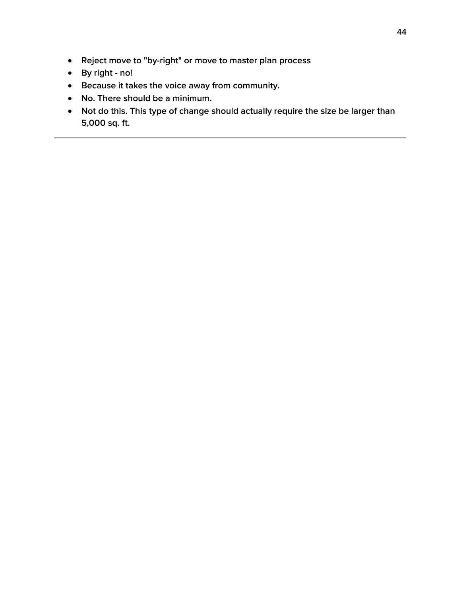- **Reject move to "by-right" or move to master plan process**
- **By right - no!**
- **Because it takes the voice away from community.**
- **No. There should be a minimum.**
- **Not do this. This type of change should actually require the size be larger than 5,000 sq. ft.**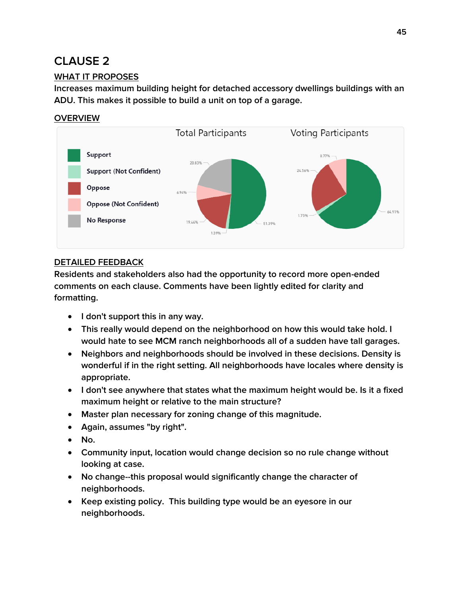### **WHAT IT PROPOSES**

**Increases maximum building height for detached accessory dwellings buildings with an ADU. This makes it possible to build a unit on top of a garage.**

#### **OVERVIEW**



#### **DETAILED FEEDBACK**

- **I don't support this in any way.**
- **This really would depend on the neighborhood on how this would take hold. I would hate to see MCM ranch neighborhoods all of a sudden have tall garages.**
- **Neighbors and neighborhoods should be involved in these decisions. Density is wonderful if in the right setting. All neighborhoods have locales where density is appropriate.**
- **I don't see anywhere that states what the maximum height would be. Is it a fixed maximum height or relative to the main structure?**
- **Master plan necessary for zoning change of this magnitude.**
- **Again, assumes "by right".**
- **No.**
- **Community input, location would change decision so no rule change without looking at case.**
- **No change--this proposal would significantly change the character of neighborhoods.**
- **Keep existing policy. This building type would be an eyesore in our neighborhoods.**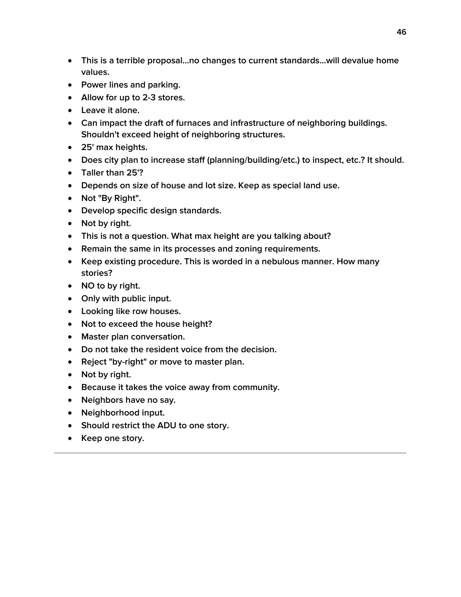- **This is a terrible proposal...no changes to current standards...will devalue home values.**
- **Power lines and parking.**
- **Allow for up to 2-3 stores.**
- **Leave it alone.**
- **Can impact the draft of furnaces and infrastructure of neighboring buildings. Shouldn't exceed height of neighboring structures.**
- **25' max heights.**
- **Does city plan to increase staff (planning/building/etc.) to inspect, etc.? It should.**
- **Taller than 25'?**
- **Depends on size of house and lot size. Keep as special land use.**
- **Not "By Right".**
- **Develop specific design standards.**
- Not by right.
- **This is not a question. What max height are you talking about?**
- **Remain the same in its processes and zoning requirements.**
- **Keep existing procedure. This is worded in a nebulous manner. How many stories?**
- **NO to by right.**
- **Only with public input.**
- **Looking like row houses.**
- **Not to exceed the house height?**
- **Master plan conversation.**
- **Do not take the resident voice from the decision.**
- **Reject "by-right" or move to master plan.**
- Not by right.
- **Because it takes the voice away from community.**
- **Neighbors have no say.**
- **Neighborhood input.**
- **Should restrict the ADU to one story.**
- Keep one story.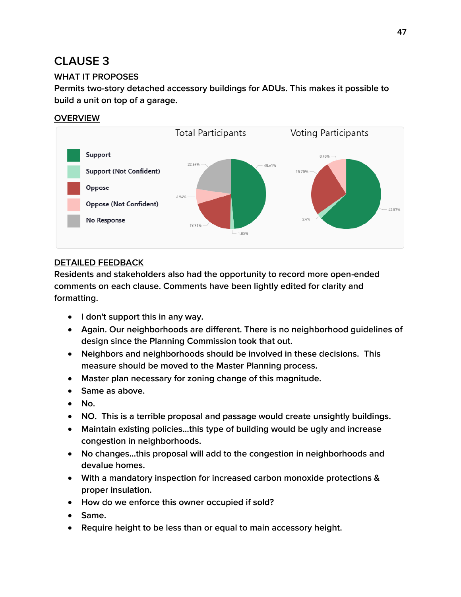### **WHAT IT PROPOSES**

**Permits two-story detached accessory buildings for ADUs. This makes it possible to build a unit on top of a garage.**

### **OVERVIEW**



### **DETAILED FEEDBACK**

- **I don't support this in any way.**
- **Again. Our neighborhoods are different. There is no neighborhood guidelines of design since the Planning Commission took that out.**
- **Neighbors and neighborhoods should be involved in these decisions. This measure should be moved to the Master Planning process.**
- **Master plan necessary for zoning change of this magnitude.**
- **Same as above.**
- **No.**
- **NO. This is a terrible proposal and passage would create unsightly buildings.**
- **Maintain existing policies...this type of building would be ugly and increase congestion in neighborhoods.**
- **No changes...this proposal will add to the congestion in neighborhoods and devalue homes.**
- **With a mandatory inspection for increased carbon monoxide protections & proper insulation.**
- **How do we enforce this owner occupied if sold?**
- **Same.**
- **Require height to be less than or equal to main accessory height.**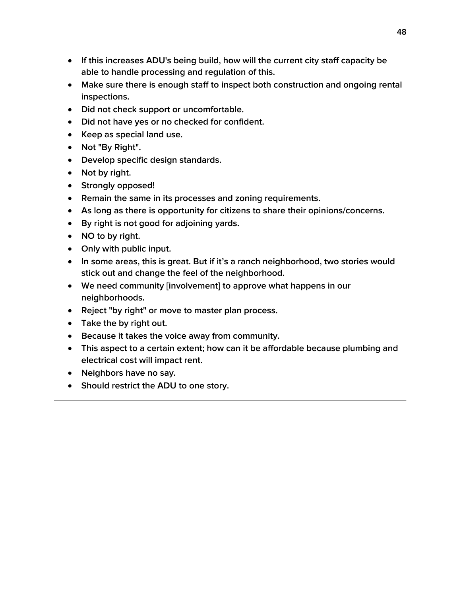- **If this increases ADU's being build, how will the current city staff capacity be able to handle processing and regulation of this.**
- **Make sure there is enough staff to inspect both construction and ongoing rental inspections.**
- **Did not check support or uncomfortable.**
- **Did not have yes or no checked for confident.**
- **Keep as special land use.**
- **Not "By Right".**
- **Develop specific design standards.**
- Not by right.
- **Strongly opposed!**
- **Remain the same in its processes and zoning requirements.**
- **As long as there is opportunity for citizens to share their opinions/concerns.**
- **By right is not good for adjoining yards.**
- **NO to by right.**
- **Only with public input.**
- **In some areas, this is great. But if it's a ranch neighborhood, two stories would stick out and change the feel of the neighborhood.**
- **We need community [involvement] to approve what happens in our neighborhoods.**
- **Reject "by right" or move to master plan process.**
- **Take the by right out.**
- **Because it takes the voice away from community.**
- **This aspect to a certain extent; how can it be affordable because plumbing and electrical cost will impact rent.**
- **Neighbors have no say.**
- **Should restrict the ADU to one story.**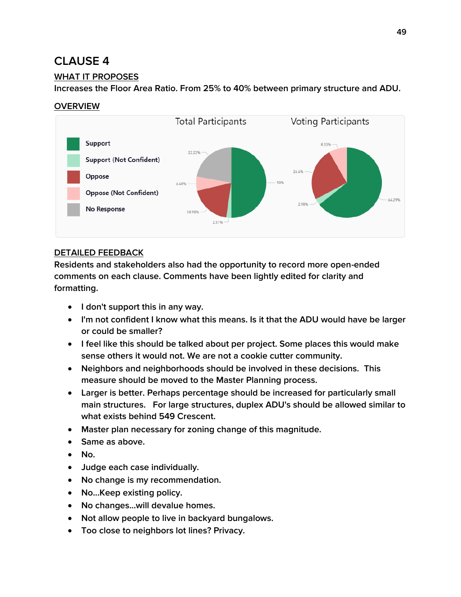### **WHAT IT PROPOSES**

**Increases the Floor Area Ratio. From 25% to 40% between primary structure and ADU.**

### **OVERVIEW**



### **DETAILED FEEDBACK**

- **I don't support this in any way.**
- **I'm not confident I know what this means. Is it that the ADU would have be larger or could be smaller?**
- **I feel like this should be talked about per project. Some places this would make sense others it would not. We are not a cookie cutter community.**
- **Neighbors and neighborhoods should be involved in these decisions. This measure should be moved to the Master Planning process.**
- **Larger is better. Perhaps percentage should be increased for particularly small main structures. For large structures, duplex ADU's should be allowed similar to what exists behind 549 Crescent.**
- **Master plan necessary for zoning change of this magnitude.**
- **Same as above.**
- **No.**
- **Judge each case individually.**
- **No change is my recommendation.**
- **No...Keep existing policy.**
- **No changes...will devalue homes.**
- **Not allow people to live in backyard bungalows.**
- **Too close to neighbors lot lines? Privacy.**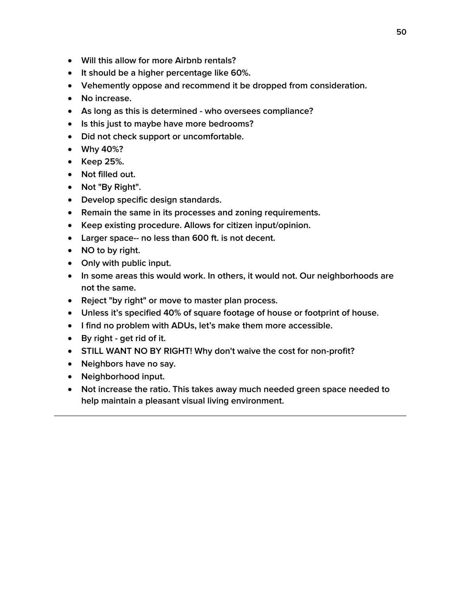- **Will this allow for more Airbnb rentals?**
- **It should be a higher percentage like 60%.**
- **Vehemently oppose and recommend it be dropped from consideration.**
- **No increase.**
- **As long as this is determined - who oversees compliance?**
- **Is this just to maybe have more bedrooms?**
- **Did not check support or uncomfortable.**
- **Why 40%?**
- **Keep 25%.**
- **Not filled out.**
- **Not "By Right".**
- **Develop specific design standards.**
- **Remain the same in its processes and zoning requirements.**
- **Keep existing procedure. Allows for citizen input/opinion.**
- **Larger space-- no less than 600 ft. is not decent.**
- **NO to by right.**
- **Only with public input.**
- **In some areas this would work. In others, it would not. Our neighborhoods are not the same.**
- **Reject "by right" or move to master plan process.**
- **Unless it's specified 40% of square footage of house or footprint of house.**
- **I find no problem with ADUs, let's make them more accessible.**
- **By right - get rid of it.**
- **STILL WANT NO BY RIGHT! Why don't waive the cost for non-profit?**
- **Neighbors have no say.**
- **Neighborhood input.**
- **Not increase the ratio. This takes away much needed green space needed to help maintain a pleasant visual living environment.**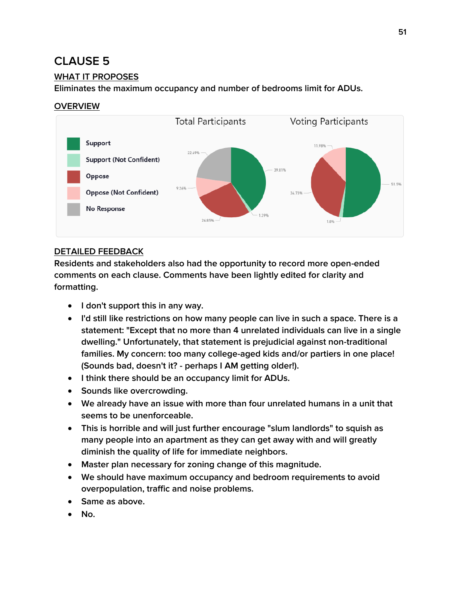### **WHAT IT PROPOSES**

**Eliminates the maximum occupancy and number of bedrooms limit for ADUs.**

#### **OVERVIEW**



### **DETAILED FEEDBACK**

- **I don't support this in any way.**
- **I'd still like restrictions on how many people can live in such a space. There is a statement: "Except that no more than 4 unrelated individuals can live in a single dwelling." Unfortunately, that statement is prejudicial against non-traditional families. My concern: too many college-aged kids and/or partiers in one place! (Sounds bad, doesn't it? - perhaps I AM getting older!).**
- **I think there should be an occupancy limit for ADUs.**
- **Sounds like overcrowding.**
- **We already have an issue with more than four unrelated humans in a unit that seems to be unenforceable.**
- **This is horrible and will just further encourage "slum landlords" to squish as many people into an apartment as they can get away with and will greatly diminish the quality of life for immediate neighbors.**
- **Master plan necessary for zoning change of this magnitude.**
- **We should have maximum occupancy and bedroom requirements to avoid overpopulation, traffic and noise problems.**
- **Same as above.**
- **No.**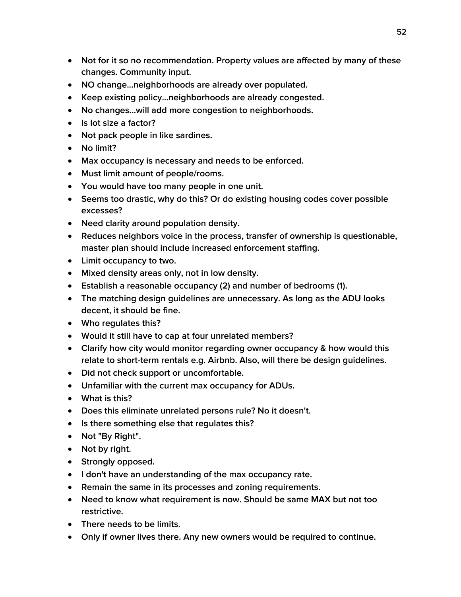- **Not for it so no recommendation. Property values are affected by many of these changes. Community input.**
- **NO change...neighborhoods are already over populated.**
- **Keep existing policy...neighborhoods are already congested.**
- **No changes...will add more congestion to neighborhoods.**
- **Is lot size a factor?**
- **Not pack people in like sardines.**
- **No limit?**
- **Max occupancy is necessary and needs to be enforced.**
- **Must limit amount of people/rooms.**
- **You would have too many people in one unit.**
- **Seems too drastic, why do this? Or do existing housing codes cover possible excesses?**
- **Need clarity around population density.**
- **Reduces neighbors voice in the process, transfer of ownership is questionable, master plan should include increased enforcement staffing.**
- **Limit occupancy to two.**
- **Mixed density areas only, not in low density.**
- **Establish a reasonable occupancy (2) and number of bedrooms (1).**
- **The matching design guidelines are unnecessary. As long as the ADU looks decent, it should be fine.**
- **Who regulates this?**
- **Would it still have to cap at four unrelated members?**
- **Clarify how city would monitor regarding owner occupancy & how would this relate to short-term rentals e.g. Airbnb. Also, will there be design guidelines.**
- **Did not check support or uncomfortable.**
- **Unfamiliar with the current max occupancy for ADUs.**
- **What is this?**
- **Does this eliminate unrelated persons rule? No it doesn't.**
- **Is there something else that regulates this?**
- **Not "By Right".**
- **Not by right.**
- **•** Strongly opposed.
- **I don't have an understanding of the max occupancy rate.**
- **Remain the same in its processes and zoning requirements.**
- **Need to know what requirement is now. Should be same MAX but not too restrictive.**
- **There needs to be limits.**
- **Only if owner lives there. Any new owners would be required to continue.**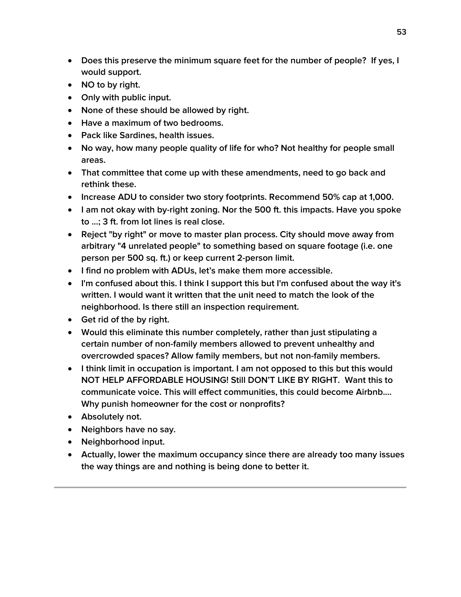- **Does this preserve the minimum square feet for the number of people? If yes, I would support.**
- **NO to by right.**
- **Only with public input.**
- **None of these should be allowed by right.**
- **Have a maximum of two bedrooms.**
- **Pack like Sardines, health issues.**
- **No way, how many people quality of life for who? Not healthy for people small areas.**
- **That committee that come up with these amendments, need to go back and rethink these.**
- **Increase ADU to consider two story footprints. Recommend 50% cap at 1,000.**
- **I am not okay with by-right zoning. Nor the 500 ft. this impacts. Have you spoke to ...; 3 ft. from lot lines is real close.**
- **Reject "by right" or move to master plan process. City should move away from arbitrary "4 unrelated people" to something based on square footage (i.e. one person per 500 sq. ft.) or keep current 2-person limit.**
- **I find no problem with ADUs, let's make them more accessible.**
- **I'm confused about this. I think I support this but I'm confused about the way it's written. I would want it written that the unit need to match the look of the neighborhood. Is there still an inspection requirement.**
- **Get rid of the by right.**
- **Would this eliminate this number completely, rather than just stipulating a certain number of non-family members allowed to prevent unhealthy and overcrowded spaces? Allow family members, but not non-family members.**
- **I think limit in occupation is important. I am not opposed to this but this would NOT HELP AFFORDABLE HOUSING! Still DON'T LIKE BY RIGHT. Want this to communicate voice. This will effect communities, this could become Airbnb.... Why punish homeowner for the cost or nonprofits?**
- **Absolutely not.**
- **Neighbors have no say.**
- **Neighborhood input.**
- **Actually, lower the maximum occupancy since there are already too many issues the way things are and nothing is being done to better it.**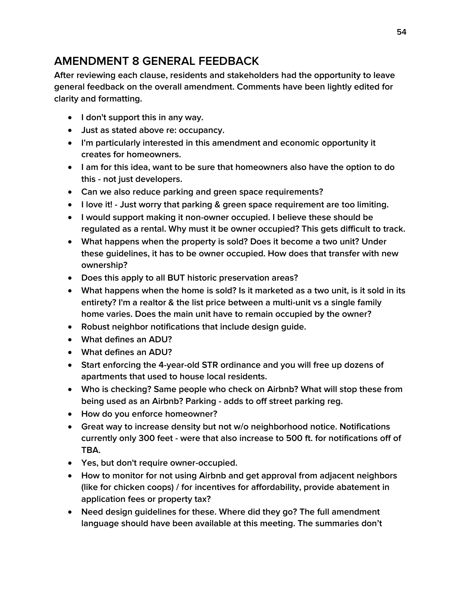# **AMENDMENT 8 GENERAL FEEDBACK**

**After reviewing each clause, residents and stakeholders had the opportunity to leave general feedback on the overall amendment. Comments have been lightly edited for clarity and formatting.**

- **I don't support this in any way.**
- **Just as stated above re: occupancy.**
- **I'm particularly interested in this amendment and economic opportunity it creates for homeowners.**
- **I am for this idea, want to be sure that homeowners also have the option to do this - not just developers.**
- **Can we also reduce parking and green space requirements?**
- **I love it! - Just worry that parking & green space requirement are too limiting.**
- **I would support making it non-owner occupied. I believe these should be regulated as a rental. Why must it be owner occupied? This gets difficult to track.**
- **What happens when the property is sold? Does it become a two unit? Under these guidelines, it has to be owner occupied. How does that transfer with new ownership?**
- **Does this apply to all BUT historic preservation areas?**
- **What happens when the home is sold? Is it marketed as a two unit, is it sold in its entirety? I'm a realtor & the list price between a multi-unit vs a single family home varies. Does the main unit have to remain occupied by the owner?**
- **Robust neighbor notifications that include design guide.**
- **What defines an ADU?**
- **What defines an ADU?**
- **Start enforcing the 4-year-old STR ordinance and you will free up dozens of apartments that used to house local residents.**
- **Who is checking? Same people who check on Airbnb? What will stop these from being used as an Airbnb? Parking - adds to off street parking reg.**
- **How do you enforce homeowner?**
- **Great way to increase density but not w/o neighborhood notice. Notifications currently only 300 feet - were that also increase to 500 ft. for notifications off of TBA.**
- **Yes, but don't require owner-occupied.**
- **How to monitor for not using Airbnb and get approval from adjacent neighbors (like for chicken coops) / for incentives for affordability, provide abatement in application fees or property tax?**
- **Need design guidelines for these. Where did they go? The full amendment language should have been available at this meeting. The summaries don't**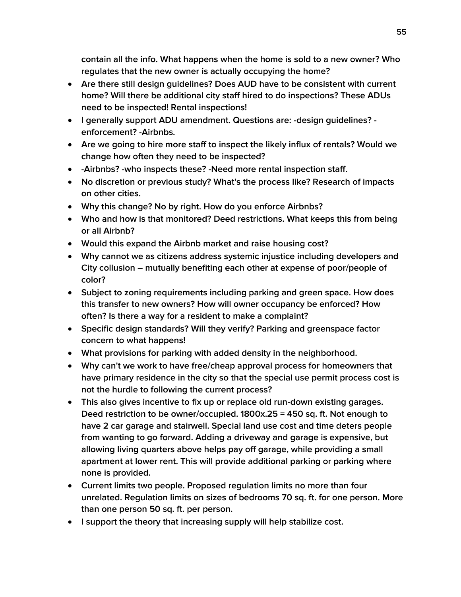**contain all the info. What happens when the home is sold to a new owner? Who regulates that the new owner is actually occupying the home?**

- **Are there still design guidelines? Does AUD have to be consistent with current home? Will there be additional city staff hired to do inspections? These ADUs need to be inspected! Rental inspections!**
- **I generally support ADU amendment. Questions are: -design guidelines? enforcement? -Airbnbs.**
- **Are we going to hire more staff to inspect the likely influx of rentals? Would we change how often they need to be inspected?**
- **-Airbnbs? -who inspects these? -Need more rental inspection staff.**
- **No discretion or previous study? What's the process like? Research of impacts on other cities.**
- **Why this change? No by right. How do you enforce Airbnbs?**
- **Who and how is that monitored? Deed restrictions. What keeps this from being or all Airbnb?**
- **Would this expand the Airbnb market and raise housing cost?**
- **Why cannot we as citizens address systemic injustice including developers and City collusion – mutually benefiting each other at expense of poor/people of color?**
- **Subject to zoning requirements including parking and green space. How does this transfer to new owners? How will owner occupancy be enforced? How often? Is there a way for a resident to make a complaint?**
- **Specific design standards? Will they verify? Parking and greenspace factor concern to what happens!**
- **What provisions for parking with added density in the neighborhood.**
- **Why can't we work to have free/cheap approval process for homeowners that have primary residence in the city so that the special use permit process cost is not the hurdle to following the current process?**
- **This also gives incentive to fix up or replace old run-down existing garages. Deed restriction to be owner/occupied. 1800x.25 = 450 sq. ft. Not enough to have 2 car garage and stairwell. Special land use cost and time deters people from wanting to go forward. Adding a driveway and garage is expensive, but allowing living quarters above helps pay off garage, while providing a small apartment at lower rent. This will provide additional parking or parking where none is provided.**
- **Current limits two people. Proposed regulation limits no more than four unrelated. Regulation limits on sizes of bedrooms 70 sq. ft. for one person. More than one person 50 sq. ft. per person.**
- **I support the theory that increasing supply will help stabilize cost.**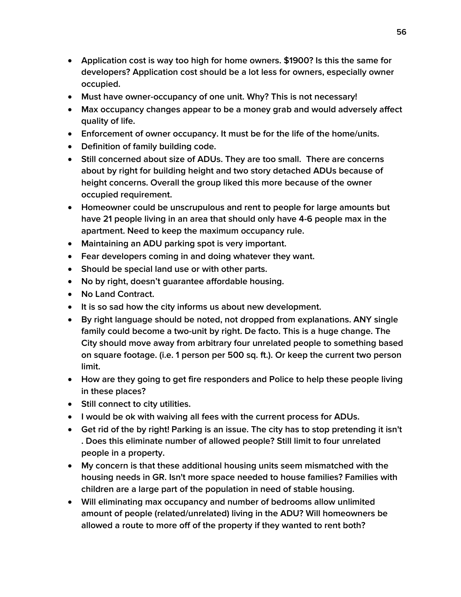- **Application cost is way too high for home owners. \$1900? Is this the same for developers? Application cost should be a lot less for owners, especially owner occupied.**
- **Must have owner-occupancy of one unit. Why? This is not necessary!**
- **Max occupancy changes appear to be a money grab and would adversely affect quality of life.**
- **Enforcement of owner occupancy. It must be for the life of the home/units.**
- **Definition of family building code.**
- **Still concerned about size of ADUs. They are too small. There are concerns about by right for building height and two story detached ADUs because of height concerns. Overall the group liked this more because of the owner occupied requirement.**
- **Homeowner could be unscrupulous and rent to people for large amounts but have 21 people living in an area that should only have 4-6 people max in the apartment. Need to keep the maximum occupancy rule.**
- **Maintaining an ADU parking spot is very important.**
- **Fear developers coming in and doing whatever they want.**
- **Should be special land use or with other parts.**
- **No by right, doesn't guarantee affordable housing.**
- **No Land Contract.**
- **It is so sad how the city informs us about new development.**
- **By right language should be noted, not dropped from explanations. ANY single family could become a two-unit by right. De facto. This is a huge change. The City should move away from arbitrary four unrelated people to something based on square footage. (i.e. 1 person per 500 sq. ft.). Or keep the current two person limit.**
- **How are they going to get fire responders and Police to help these people living in these places?**
- **Still connect to city utilities.**
- **I would be ok with waiving all fees with the current process for ADUs.**
- **Get rid of the by right! Parking is an issue. The city has to stop pretending it isn't . Does this eliminate number of allowed people? Still limit to four unrelated people in a property.**
- **My concern is that these additional housing units seem mismatched with the housing needs in GR. Isn't more space needed to house families? Families with children are a large part of the population in need of stable housing.**
- **Will eliminating max occupancy and number of bedrooms allow unlimited amount of people (related/unrelated) living in the ADU? Will homeowners be allowed a route to more off of the property if they wanted to rent both?**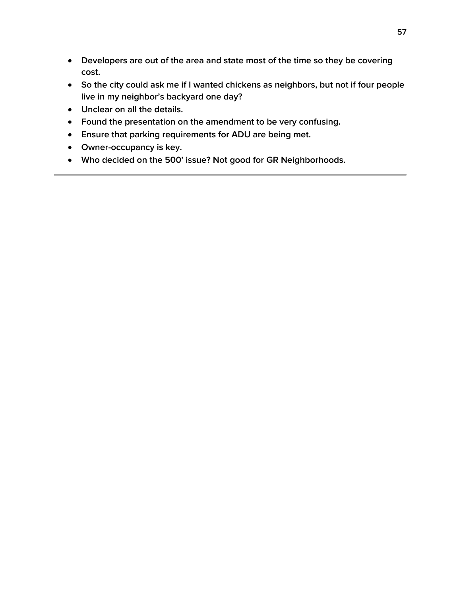- **Developers are out of the area and state most of the time so they be covering cost.**
- **So the city could ask me if I wanted chickens as neighbors, but not if four people live in my neighbor's backyard one day?**
- **Unclear on all the details.**
- **Found the presentation on the amendment to be very confusing.**
- **Ensure that parking requirements for ADU are being met.**
- **Owner-occupancy is key.**
- **Who decided on the 500' issue? Not good for GR Neighborhoods.**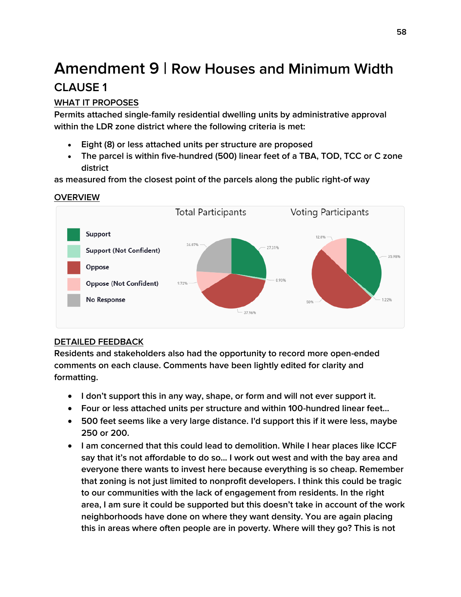# **Amendment 9 | Row Houses and Minimum Width CLAUSE 1**

### **WHAT IT PROPOSES**

**Permits attached single-family residential dwelling units by administrative approval within the LDR zone district where the following criteria is met:**

- **Eight (8) or less attached units per structure are proposed**
- **The parcel is within five-hundred (500) linear feet of a TBA, TOD, TCC or C zone district**

**as measured from the closest point of the parcels along the public right-of way**

### **OVERVIEW**



### **DETAILED FEEDBACK**

- **I don't support this in any way, shape, or form and will not ever support it.**
- **Four or less attached units per structure and within 100-hundred linear feet...**
- **500 feet seems like a very large distance. I'd support this if it were less, maybe 250 or 200.**
- **I am concerned that this could lead to demolition. While I hear places like ICCF say that it's not affordable to do so... I work out west and with the bay area and everyone there wants to invest here because everything is so cheap. Remember that zoning is not just limited to nonprofit developers. I think this could be tragic to our communities with the lack of engagement from residents. In the right area, I am sure it could be supported but this doesn't take in account of the work neighborhoods have done on where they want density. You are again placing this in areas where often people are in poverty. Where will they go? This is not**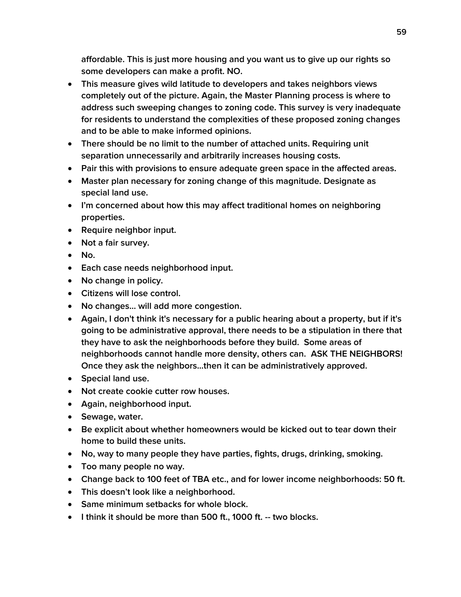**affordable. This is just more housing and you want us to give up our rights so some developers can make a profit. NO.**

- **This measure gives wild latitude to developers and takes neighbors views completely out of the picture. Again, the Master Planning process is where to address such sweeping changes to zoning code. This survey is very inadequate for residents to understand the complexities of these proposed zoning changes and to be able to make informed opinions.**
- **There should be no limit to the number of attached units. Requiring unit separation unnecessarily and arbitrarily increases housing costs.**
- **Pair this with provisions to ensure adequate green space in the affected areas.**
- **Master plan necessary for zoning change of this magnitude. Designate as special land use.**
- **I'm concerned about how this may affect traditional homes on neighboring properties.**
- **Require neighbor input.**
- **Not a fair survey.**
- **No.**
- **Each case needs neighborhood input.**
- **No change in policy.**
- **Citizens will lose control.**
- **No changes... will add more congestion.**
- **Again, I don't think it's necessary for a public hearing about a property, but if it's going to be administrative approval, there needs to be a stipulation in there that they have to ask the neighborhoods before they build. Some areas of neighborhoods cannot handle more density, others can. ASK THE NEIGHBORS! Once they ask the neighbors...then it can be administratively approved.**
- **Special land use.**
- **Not create cookie cutter row houses.**
- **Again, neighborhood input.**
- **Sewage, water.**
- **Be explicit about whether homeowners would be kicked out to tear down their home to build these units.**
- **No, way to many people they have parties, fights, drugs, drinking, smoking.**
- **Too many people no way.**
- **Change back to 100 feet of TBA etc., and for lower income neighborhoods: 50 ft.**
- **This doesn't look like a neighborhood.**
- **Same minimum setbacks for whole block.**
- **I think it should be more than 500 ft., 1000 ft. -- two blocks.**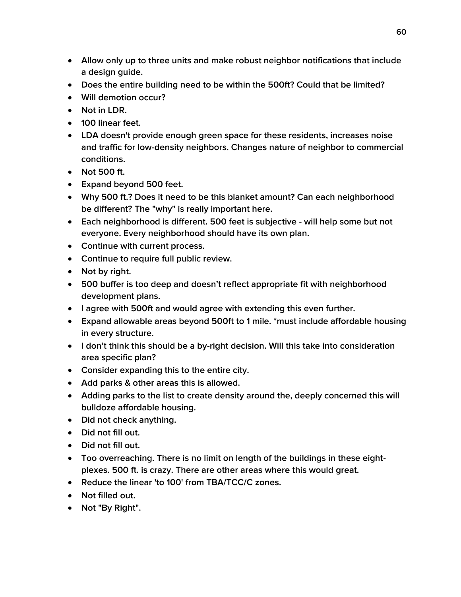- **Allow only up to three units and make robust neighbor notifications that include a design guide.**
- **Does the entire building need to be within the 500ft? Could that be limited?**
- **Will demotion occur?**
- **Not in LDR.**
- **100 linear feet.**
- **LDA doesn't provide enough green space for these residents, increases noise and traffic for low-density neighbors. Changes nature of neighbor to commercial conditions.**
- **Not 500 ft.**
- **Expand beyond 500 feet.**
- **Why 500 ft.? Does it need to be this blanket amount? Can each neighborhood be different? The "why" is really important here.**
- **Each neighborhood is different. 500 feet is subjective - will help some but not everyone. Every neighborhood should have its own plan.**
- **Continue with current process.**
- **Continue to require full public review.**
- Not by right.
- **500 buffer is too deep and doesn't reflect appropriate fit with neighborhood development plans.**
- **I agree with 500ft and would agree with extending this even further.**
- **Expand allowable areas beyond 500ft to 1 mile. \*must include affordable housing in every structure.**
- **I don't think this should be a by-right decision. Will this take into consideration area specific plan?**
- **Consider expanding this to the entire city.**
- **Add parks & other areas this is allowed.**
- **Adding parks to the list to create density around the, deeply concerned this will bulldoze affordable housing.**
- **Did not check anything.**
- **Did not fill out.**
- **Did not fill out.**
- **Too overreaching. There is no limit on length of the buildings in these eightplexes. 500 ft. is crazy. There are other areas where this would great.**
- **Reduce the linear 'to 100' from TBA/TCC/C zones.**
- **Not filled out.**
- **Not "By Right".**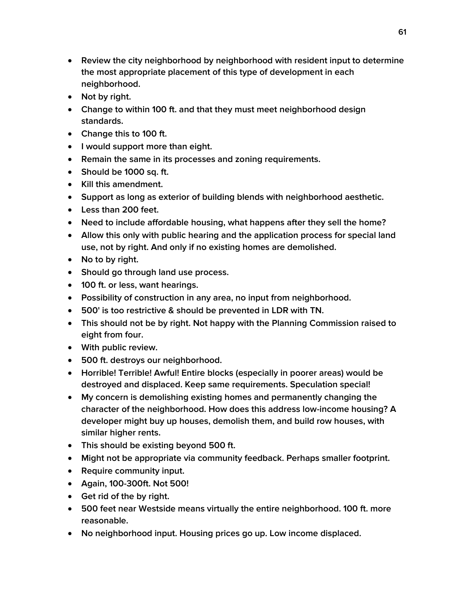- **Review the city neighborhood by neighborhood with resident input to determine the most appropriate placement of this type of development in each neighborhood.**
- Not by right.
- **Change to within 100 ft. and that they must meet neighborhood design standards.**
- **Change this to 100 ft.**
- **I would support more than eight.**
- **Remain the same in its processes and zoning requirements.**
- **Should be 1000 sq. ft.**
- **Kill this amendment.**
- **Support as long as exterior of building blends with neighborhood aesthetic.**
- **Less than 200 feet.**
- **Need to include affordable housing, what happens after they sell the home?**
- **Allow this only with public hearing and the application process for special land use, not by right. And only if no existing homes are demolished.**
- No to by right.
- **Should go through land use process.**
- **100 ft. or less, want hearings.**
- **Possibility of construction in any area, no input from neighborhood.**
- **500' is too restrictive & should be prevented in LDR with TN.**
- **This should not be by right. Not happy with the Planning Commission raised to eight from four.**
- **With public review.**
- **500 ft. destroys our neighborhood.**
- **Horrible! Terrible! Awful! Entire blocks (especially in poorer areas) would be destroyed and displaced. Keep same requirements. Speculation special!**
- **My concern is demolishing existing homes and permanently changing the character of the neighborhood. How does this address low-income housing? A developer might buy up houses, demolish them, and build row houses, with similar higher rents.**
- **This should be existing beyond 500 ft.**
- **Might not be appropriate via community feedback. Perhaps smaller footprint.**
- **•** Require community input.
- **Again, 100-300ft. Not 500!**
- **Get rid of the by right.**
- **500 feet near Westside means virtually the entire neighborhood. 100 ft. more reasonable.**
- **No neighborhood input. Housing prices go up. Low income displaced.**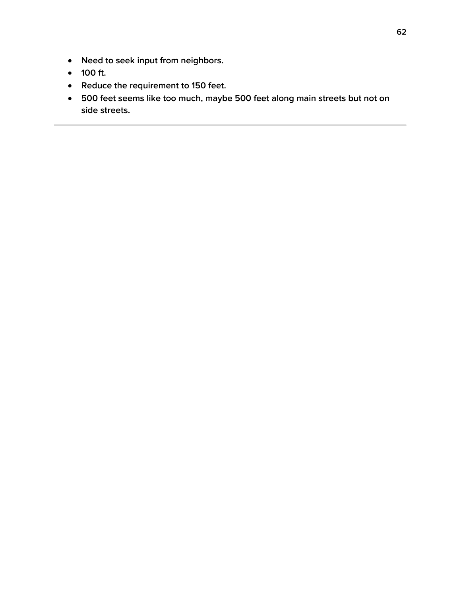- **Need to seek input from neighbors.**
- **100 ft.**
- **Reduce the requirement to 150 feet.**
- **500 feet seems like too much, maybe 500 feet along main streets but not on side streets.**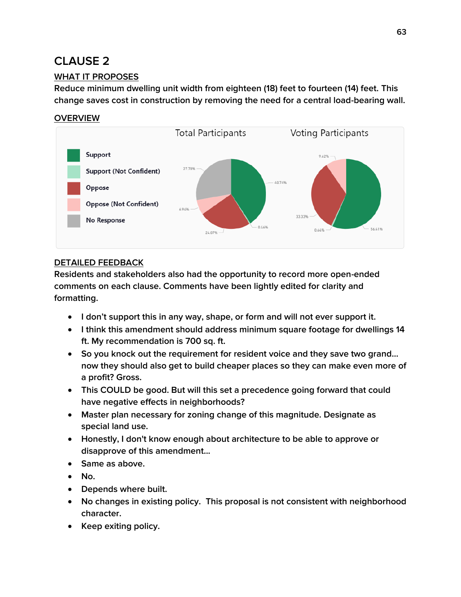### **WHAT IT PROPOSES**

**Reduce minimum dwelling unit width from eighteen (18) feet to fourteen (14) feet. This change saves cost in construction by removing the need for a central load-bearing wall.**

### **OVERVIEW**



#### **DETAILED FEEDBACK**

- **I don't support this in any way, shape, or form and will not ever support it.**
- **I think this amendment should address minimum square footage for dwellings 14 ft. My recommendation is 700 sq. ft.**
- **So you knock out the requirement for resident voice and they save two grand... now they should also get to build cheaper places so they can make even more of a profit? Gross.**
- **This COULD be good. But will this set a precedence going forward that could have negative effects in neighborhoods?**
- **Master plan necessary for zoning change of this magnitude. Designate as special land use.**
- **Honestly, I don't know enough about architecture to be able to approve or disapprove of this amendment...**
- **Same as above.**
- **No.**
- **Depends where built.**
- **No changes in existing policy. This proposal is not consistent with neighborhood character.**
- **•** Keep exiting policy.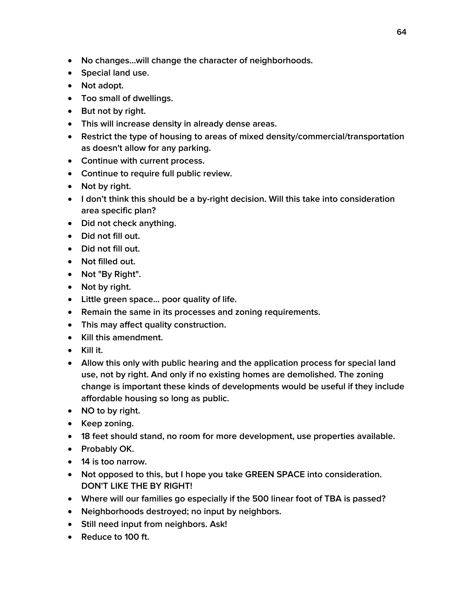- **No changes...will change the character of neighborhoods.**
- **Special land use.**
- **Not adopt.**
- **Too small of dwellings.**
- **But not by right.**
- **This will increase density in already dense areas.**
- **Restrict the type of housing to areas of mixed density/commercial/transportation as doesn't allow for any parking.**
- **Continue with current process.**
- **Continue to require full public review.**
- Not by right.
- **I don't think this should be a by-right decision. Will this take into consideration area specific plan?**
- **Did not check anything.**
- **Did not fill out.**
- **Did not fill out.**
- **Not filled out.**
- **Not "By Right".**
- Not by right.
- **Little green space... poor quality of life.**
- **Remain the same in its processes and zoning requirements.**
- **This may affect quality construction.**
- **Kill this amendment.**
- **Kill it.**
- **Allow this only with public hearing and the application process for special land use, not by right. And only if no existing homes are demolished. The zoning change is important these kinds of developments would be useful if they include affordable housing so long as public.**
- **NO to by right.**
- **Keep zoning.**
- **18 feet should stand, no room for more development, use properties available.**
- **Probably OK.**
- **14 is too narrow.**
- **Not opposed to this, but I hope you take GREEN SPACE into consideration. DON'T LIKE THE BY RIGHT!**
- **Where will our families go especially if the 500 linear foot of TBA is passed?**
- **Neighborhoods destroyed; no input by neighbors.**
- **Still need input from neighbors. Ask!**
- **Reduce to 100 ft.**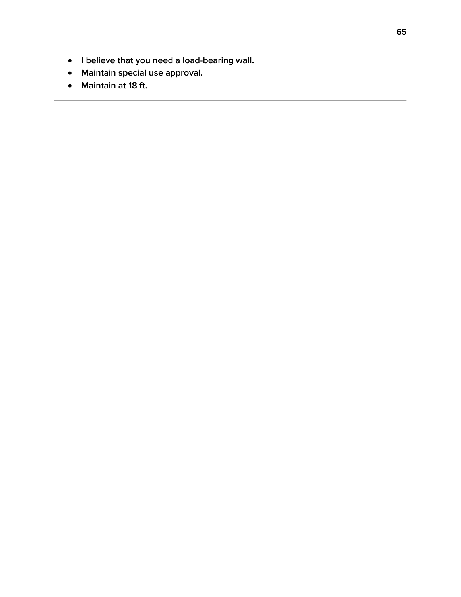- **I believe that you need a load-bearing wall.**
- **Maintain special use approval.**
- **Maintain at 18 ft.**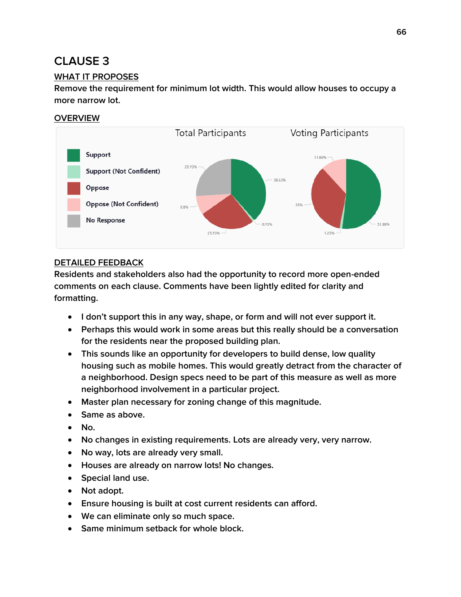### **WHAT IT PROPOSES**

**Remove the requirement for minimum lot width. This would allow houses to occupy a more narrow lot.**

### **OVERVIEW**



### **DETAILED FEEDBACK**

- **I don't support this in any way, shape, or form and will not ever support it.**
- **Perhaps this would work in some areas but this really should be a conversation for the residents near the proposed building plan.**
- **This sounds like an opportunity for developers to build dense, low quality housing such as mobile homes. This would greatly detract from the character of a neighborhood. Design specs need to be part of this measure as well as more neighborhood involvement in a particular project.**
- **Master plan necessary for zoning change of this magnitude.**
- **Same as above.**
- **No.**
- **No changes in existing requirements. Lots are already very, very narrow.**
- **No way, lots are already very small.**
- **Houses are already on narrow lots! No changes.**
- **Special land use.**
- **Not adopt.**
- **Ensure housing is built at cost current residents can afford.**
- **We can eliminate only so much space.**
- **Same minimum setback for whole block.**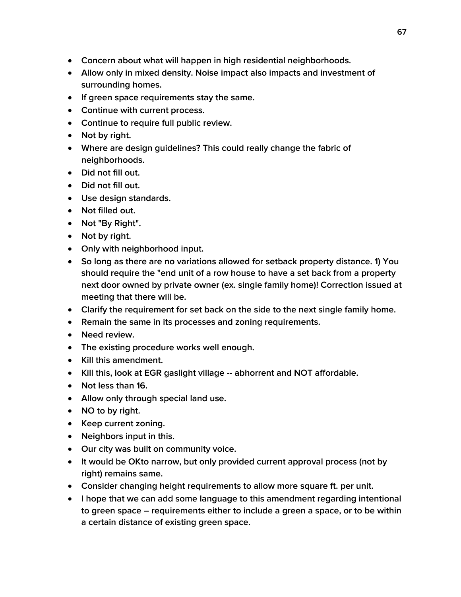- **Concern about what will happen in high residential neighborhoods.**
- **Allow only in mixed density. Noise impact also impacts and investment of surrounding homes.**
- **If green space requirements stay the same.**
- **Continue with current process.**
- **Continue to require full public review.**
- Not by right.
- **Where are design guidelines? This could really change the fabric of neighborhoods.**
- **Did not fill out.**
- **Did not fill out.**
- **Use design standards.**
- **Not filled out.**
- **Not "By Right".**
- **Not by right.**
- **Only with neighborhood input.**
- **So long as there are no variations allowed for setback property distance. 1) You should require the "end unit of a row house to have a set back from a property next door owned by private owner (ex. single family home)! Correction issued at meeting that there will be.**
- **Clarify the requirement for set back on the side to the next single family home.**
- **Remain the same in its processes and zoning requirements.**
- **Need review.**
- **The existing procedure works well enough.**
- **Kill this amendment.**
- **Kill this, look at EGR gaslight village -- abhorrent and NOT affordable.**
- **Not less than 16.**
- **Allow only through special land use.**
- **NO to by right.**
- **Keep current zoning.**
- **Neighbors input in this.**
- **Our city was built on community voice.**
- **It would be OKto narrow, but only provided current approval process (not by right) remains same.**
- **Consider changing height requirements to allow more square ft. per unit.**
- **I hope that we can add some language to this amendment regarding intentional to green space – requirements either to include a green a space, or to be within a certain distance of existing green space.**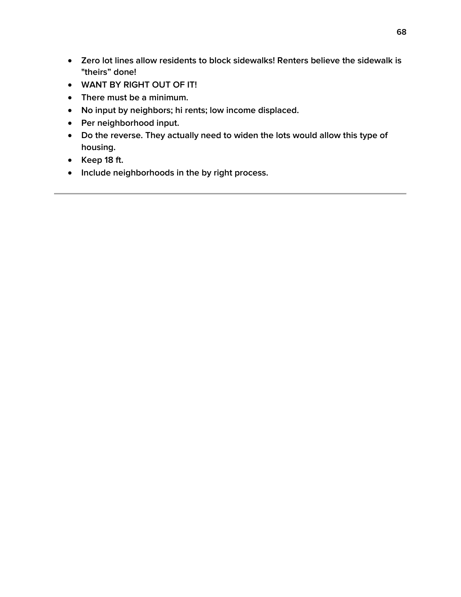- **Zero lot lines allow residents to block sidewalks! Renters believe the sidewalk is "theirs" done!**
- **WANT BY RIGHT OUT OF IT!**
- **There must be a minimum.**
- **No input by neighbors; hi rents; low income displaced.**
- **Per neighborhood input.**
- **Do the reverse. They actually need to widen the lots would allow this type of housing.**
- **Keep 18 ft.**
- **Include neighborhoods in the by right process.**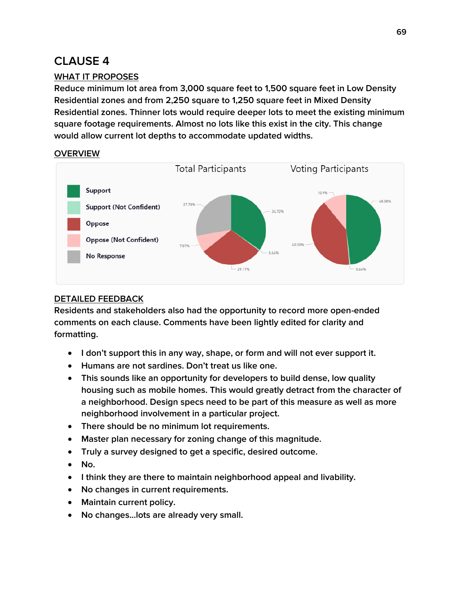### **WHAT IT PROPOSES**

**Reduce minimum lot area from 3,000 square feet to 1,500 square feet in Low Density Residential zones and from 2,250 square to 1,250 square feet in Mixed Density Residential zones. Thinner lots would require deeper lots to meet the existing minimum square footage requirements. Almost no lots like this exist in the city. This change would allow current lot depths to accommodate updated widths.**

### **OVERVIEW**



### **DETAILED FEEDBACK**

- **I don't support this in any way, shape, or form and will not ever support it.**
- **Humans are not sardines. Don't treat us like one.**
- **This sounds like an opportunity for developers to build dense, low quality housing such as mobile homes. This would greatly detract from the character of a neighborhood. Design specs need to be part of this measure as well as more neighborhood involvement in a particular project.**
- **There should be no minimum lot requirements.**
- **Master plan necessary for zoning change of this magnitude.**
- **Truly a survey designed to get a specific, desired outcome.**
- **No.**
- **I think they are there to maintain neighborhood appeal and livability.**
- **No changes in current requirements.**
- **Maintain current policy.**
- **No changes...lots are already very small.**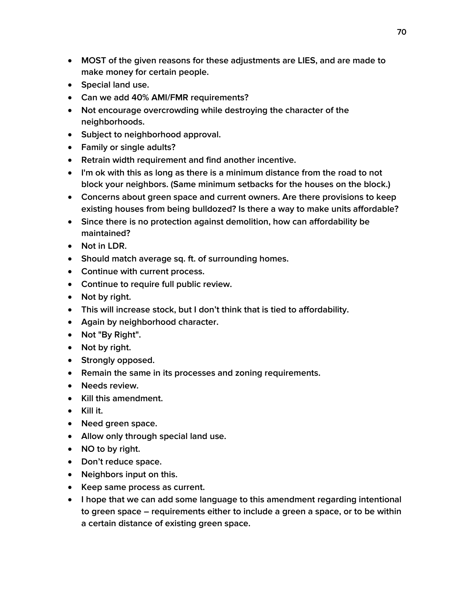- **MOST of the given reasons for these adjustments are LIES, and are made to make money for certain people.**
- **Special land use.**
- **Can we add 40% AMI/FMR requirements?**
- **Not encourage overcrowding while destroying the character of the neighborhoods.**
- **Subject to neighborhood approval.**
- **Family or single adults?**
- **Retrain width requirement and find another incentive.**
- **I'm ok with this as long as there is a minimum distance from the road to not block your neighbors. (Same minimum setbacks for the houses on the block.)**
- **Concerns about green space and current owners. Are there provisions to keep existing houses from being bulldozed? Is there a way to make units affordable?**
- **Since there is no protection against demolition, how can affordability be maintained?**
- **Not in LDR.**
- **Should match average sq. ft. of surrounding homes.**
- **Continue with current process.**
- **Continue to require full public review.**
- **Not by right.**
- **This will increase stock, but I don't think that is tied to affordability.**
- **Again by neighborhood character.**
- **Not "By Right".**
- **Not by right.**
- **•** Strongly opposed.
- **Remain the same in its processes and zoning requirements.**
- **Needs review.**
- **Kill this amendment.**
- **Kill it.**
- **Need green space.**
- **Allow only through special land use.**
- **NO to by right.**
- **Don't reduce space.**
- **Neighbors input on this.**
- **Keep same process as current.**
- **I hope that we can add some language to this amendment regarding intentional to green space – requirements either to include a green a space, or to be within a certain distance of existing green space.**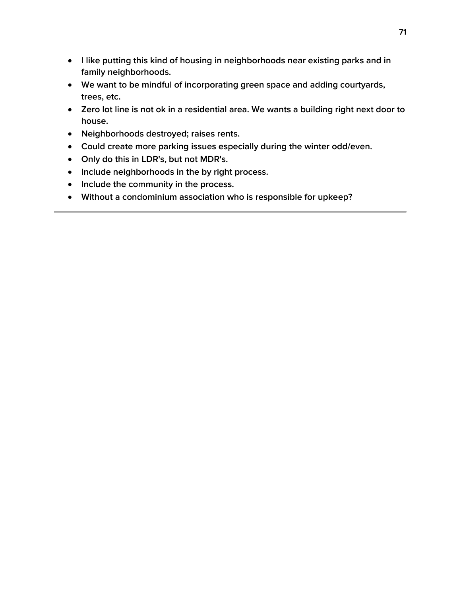- **I like putting this kind of housing in neighborhoods near existing parks and in family neighborhoods.**
- **We want to be mindful of incorporating green space and adding courtyards, trees, etc.**
- **Zero lot line is not ok in a residential area. We wants a building right next door to house.**
- **Neighborhoods destroyed; raises rents.**
- **Could create more parking issues especially during the winter odd/even.**
- **Only do this in LDR's, but not MDR's.**
- **Include neighborhoods in the by right process.**
- **Include the community in the process.**
- **Without a condominium association who is responsible for upkeep?**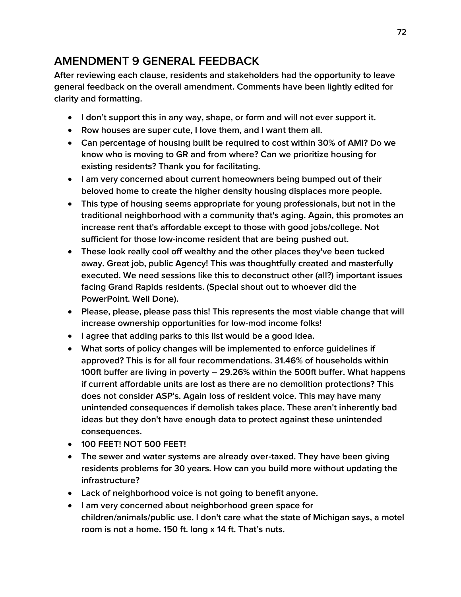# **AMENDMENT 9 GENERAL FEEDBACK**

**After reviewing each clause, residents and stakeholders had the opportunity to leave general feedback on the overall amendment. Comments have been lightly edited for clarity and formatting.**

- **I don't support this in any way, shape, or form and will not ever support it.**
- **Row houses are super cute, I love them, and I want them all.**
- **Can percentage of housing built be required to cost within 30% of AMI? Do we know who is moving to GR and from where? Can we prioritize housing for existing residents? Thank you for facilitating.**
- **I am very concerned about current homeowners being bumped out of their beloved home to create the higher density housing displaces more people.**
- **This type of housing seems appropriate for young professionals, but not in the traditional neighborhood with a community that's aging. Again, this promotes an increase rent that's affordable except to those with good jobs/college. Not sufficient for those low-income resident that are being pushed out.**
- **These look really cool off wealthy and the other places they've been tucked away. Great job, public Agency! This was thoughtfully created and masterfully executed. We need sessions like this to deconstruct other (all?) important issues facing Grand Rapids residents. (Special shout out to whoever did the PowerPoint. Well Done).**
- **Please, please, please pass this! This represents the most viable change that will increase ownership opportunities for low-mod income folks!**
- **I agree that adding parks to this list would be a good idea.**
- **What sorts of policy changes will be implemented to enforce guidelines if approved? This is for all four recommendations. 31.46% of households within 100ft buffer are living in poverty – 29.26% within the 500ft buffer. What happens if current affordable units are lost as there are no demolition protections? This does not consider ASP's. Again loss of resident voice. This may have many unintended consequences if demolish takes place. These aren't inherently bad ideas but they don't have enough data to protect against these unintended consequences.**
- **100 FEET! NOT 500 FEET!**
- **The sewer and water systems are already over-taxed. They have been giving residents problems for 30 years. How can you build more without updating the infrastructure?**
- **Lack of neighborhood voice is not going to benefit anyone.**
- **I am very concerned about neighborhood green space for children/animals/public use. I don't care what the state of Michigan says, a motel room is not a home. 150 ft. long x 14 ft. That's nuts.**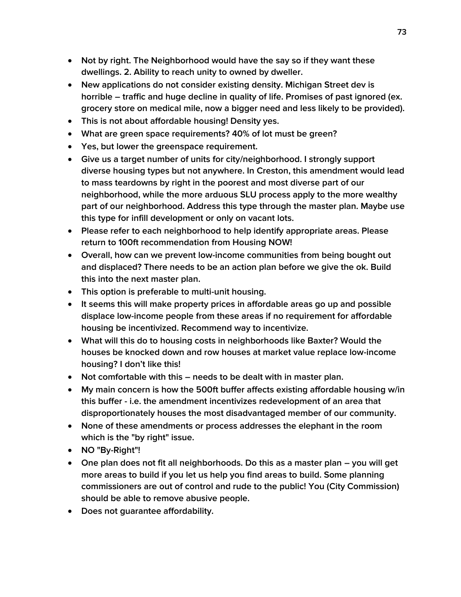- **Not by right. The Neighborhood would have the say so if they want these dwellings. 2. Ability to reach unity to owned by dweller.**
- **New applications do not consider existing density. Michigan Street dev is horrible – traffic and huge decline in quality of life. Promises of past ignored (ex. grocery store on medical mile, now a bigger need and less likely to be provided).**
- **This is not about affordable housing! Density yes.**
- **What are green space requirements? 40% of lot must be green?**
- **Yes, but lower the greenspace requirement.**
- **Give us a target number of units for city/neighborhood. I strongly support diverse housing types but not anywhere. In Creston, this amendment would lead to mass teardowns by right in the poorest and most diverse part of our neighborhood, while the more arduous SLU process apply to the more wealthy part of our neighborhood. Address this type through the master plan. Maybe use this type for infill development or only on vacant lots.**
- **Please refer to each neighborhood to help identify appropriate areas. Please return to 100ft recommendation from Housing NOW!**
- **Overall, how can we prevent low-income communities from being bought out and displaced? There needs to be an action plan before we give the ok. Build this into the next master plan.**
- **This option is preferable to multi-unit housing.**
- **It seems this will make property prices in affordable areas go up and possible displace low-income people from these areas if no requirement for affordable housing be incentivized. Recommend way to incentivize.**
- **What will this do to housing costs in neighborhoods like Baxter? Would the houses be knocked down and row houses at market value replace low-income housing? I don't like this!**
- **Not comfortable with this – needs to be dealt with in master plan.**
- **My main concern is how the 500ft buffer affects existing affordable housing w/in this buffer - i.e. the amendment incentivizes redevelopment of an area that disproportionately houses the most disadvantaged member of our community.**
- **None of these amendments or process addresses the elephant in the room which is the "by right" issue.**
- **NO "By-Right"!**
- **•** One plan does not fit all neighborhoods. Do this as a master plan you will get **more areas to build if you let us help you find areas to build. Some planning commissioners are out of control and rude to the public! You (City Commission) should be able to remove abusive people.**
- **Does not guarantee affordability.**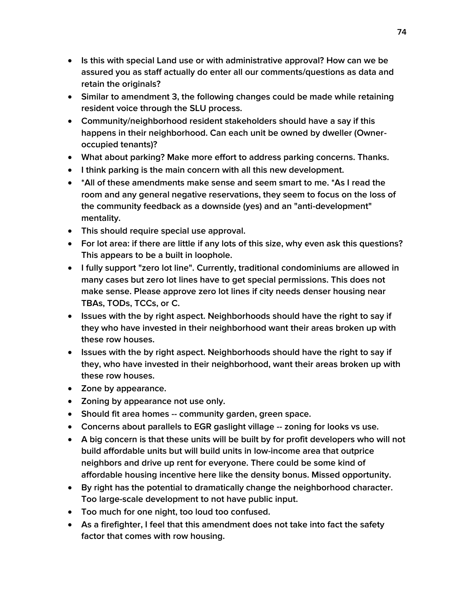- **Is this with special Land use or with administrative approval? How can we be assured you as staff actually do enter all our comments/questions as data and retain the originals?**
- **Similar to amendment 3, the following changes could be made while retaining resident voice through the SLU process.**
- **Community/neighborhood resident stakeholders should have a say if this happens in their neighborhood. Can each unit be owned by dweller (Owneroccupied tenants)?**
- **What about parking? Make more effort to address parking concerns. Thanks.**
- **I think parking is the main concern with all this new development.**
- **\*All of these amendments make sense and seem smart to me. \*As I read the room and any general negative reservations, they seem to focus on the loss of the community feedback as a downside (yes) and an "anti-development" mentality.**
- **This should require special use approval.**
- **For lot area: if there are little if any lots of this size, why even ask this questions? This appears to be a built in loophole.**
- **I fully support "zero lot line". Currently, traditional condominiums are allowed in many cases but zero lot lines have to get special permissions. This does not make sense. Please approve zero lot lines if city needs denser housing near TBAs, TODs, TCCs, or C.**
- **Issues with the by right aspect. Neighborhoods should have the right to say if they who have invested in their neighborhood want their areas broken up with these row houses.**
- **Issues with the by right aspect. Neighborhoods should have the right to say if they, who have invested in their neighborhood, want their areas broken up with these row houses.**
- **Zone by appearance.**
- **Zoning by appearance not use only.**
- **Should fit area homes -- community garden, green space.**
- **Concerns about parallels to EGR gaslight village -- zoning for looks vs use.**
- **A big concern is that these units will be built by for profit developers who will not build affordable units but will build units in low-income area that outprice neighbors and drive up rent for everyone. There could be some kind of affordable housing incentive here like the density bonus. Missed opportunity.**
- **By right has the potential to dramatically change the neighborhood character. Too large-scale development to not have public input.**
- **Too much for one night, too loud too confused.**
- **As a firefighter, I feel that this amendment does not take into fact the safety factor that comes with row housing.**